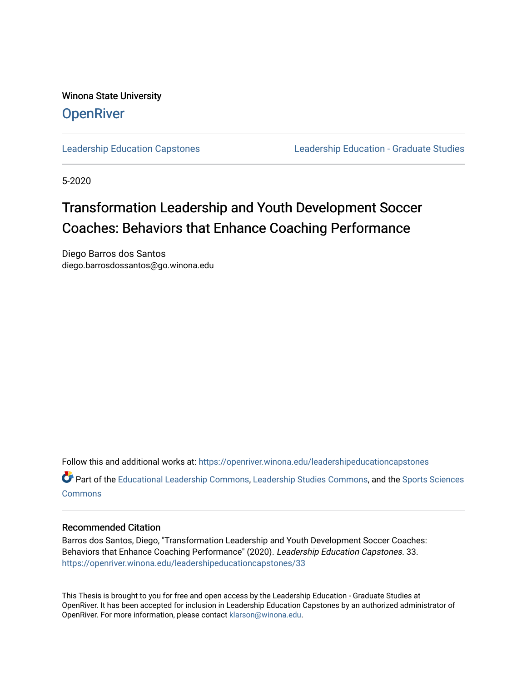Winona State University **OpenRiver** 

[Leadership Education Capstones](https://openriver.winona.edu/leadershipeducationcapstones) [Leadership Education - Graduate Studies](https://openriver.winona.edu/leadershipeducation) 

5-2020

# Transformation Leadership and Youth Development Soccer Coaches: Behaviors that Enhance Coaching Performance

Diego Barros dos Santos diego.barrosdossantos@go.winona.edu

Follow this and additional works at: [https://openriver.winona.edu/leadershipeducationcapstones](https://openriver.winona.edu/leadershipeducationcapstones?utm_source=openriver.winona.edu%2Fleadershipeducationcapstones%2F33&utm_medium=PDF&utm_campaign=PDFCoverPages) 

Part of the [Educational Leadership Commons,](http://network.bepress.com/hgg/discipline/1230?utm_source=openriver.winona.edu%2Fleadershipeducationcapstones%2F33&utm_medium=PDF&utm_campaign=PDFCoverPages) [Leadership Studies Commons,](http://network.bepress.com/hgg/discipline/1250?utm_source=openriver.winona.edu%2Fleadershipeducationcapstones%2F33&utm_medium=PDF&utm_campaign=PDFCoverPages) and the [Sports Sciences](http://network.bepress.com/hgg/discipline/759?utm_source=openriver.winona.edu%2Fleadershipeducationcapstones%2F33&utm_medium=PDF&utm_campaign=PDFCoverPages) **[Commons](http://network.bepress.com/hgg/discipline/759?utm_source=openriver.winona.edu%2Fleadershipeducationcapstones%2F33&utm_medium=PDF&utm_campaign=PDFCoverPages)** 

## Recommended Citation

Barros dos Santos, Diego, "Transformation Leadership and Youth Development Soccer Coaches: Behaviors that Enhance Coaching Performance" (2020). Leadership Education Capstones. 33. [https://openriver.winona.edu/leadershipeducationcapstones/33](https://openriver.winona.edu/leadershipeducationcapstones/33?utm_source=openriver.winona.edu%2Fleadershipeducationcapstones%2F33&utm_medium=PDF&utm_campaign=PDFCoverPages) 

This Thesis is brought to you for free and open access by the Leadership Education - Graduate Studies at OpenRiver. It has been accepted for inclusion in Leadership Education Capstones by an authorized administrator of OpenRiver. For more information, please contact [klarson@winona.edu](mailto:klarson@winona.edu).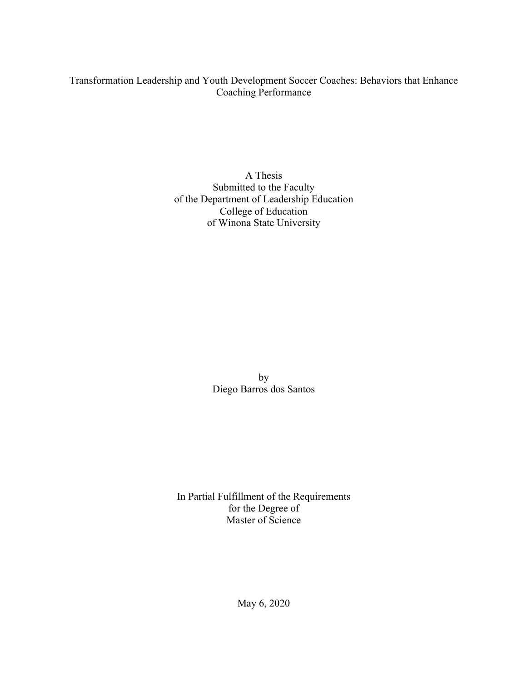## Transformation Leadership and Youth Development Soccer Coaches: Behaviors that Enhance Coaching Performance

A Thesis Submitted to the Faculty of the Department of Leadership Education College of Education of Winona State University

> by Diego Barros dos Santos

In Partial Fulfillment of the Requirements for the Degree of Master of Science

May 6, 2020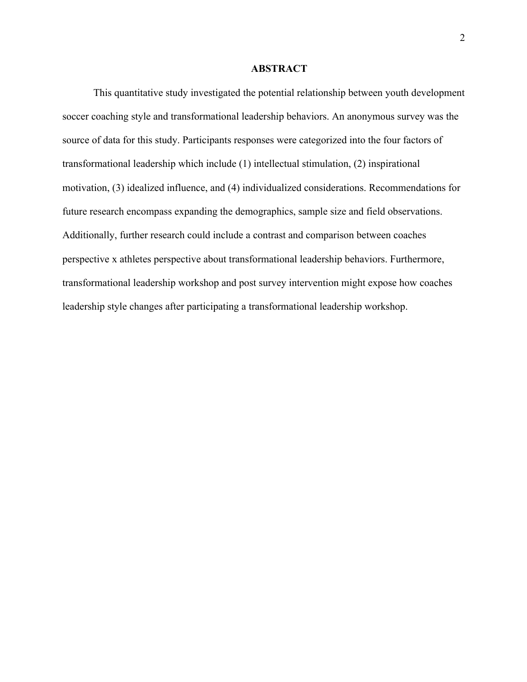#### **ABSTRACT**

This quantitative study investigated the potential relationship between youth development soccer coaching style and transformational leadership behaviors. An anonymous survey was the source of data for this study. Participants responses were categorized into the four factors of transformational leadership which include (1) intellectual stimulation, (2) inspirational motivation, (3) idealized influence, and (4) individualized considerations. Recommendations for future research encompass expanding the demographics, sample size and field observations. Additionally, further research could include a contrast and comparison between coaches perspective x athletes perspective about transformational leadership behaviors. Furthermore, transformational leadership workshop and post survey intervention might expose how coaches leadership style changes after participating a transformational leadership workshop.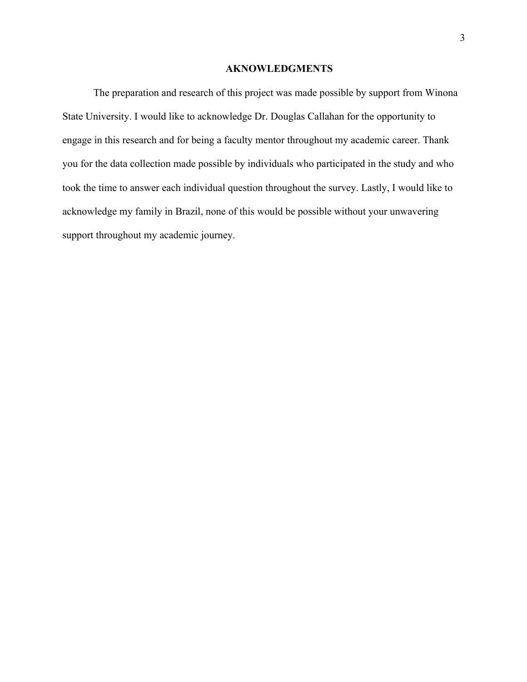#### **AKNOWLEDGMENTS**

The preparation and research of this project was made possible by support from Winona State University. I would like to acknowledge Dr. Douglas Callahan for the opportunity to engage in this research and for being a faculty mentor throughout my academic career. Thank you for the data collection made possible by individuals who participated in the study and who took the time to answer each individual question throughout the survey. Lastly, I would like to acknowledge my family in Brazil, none of this would be possible without your unwavering support throughout my academic journey.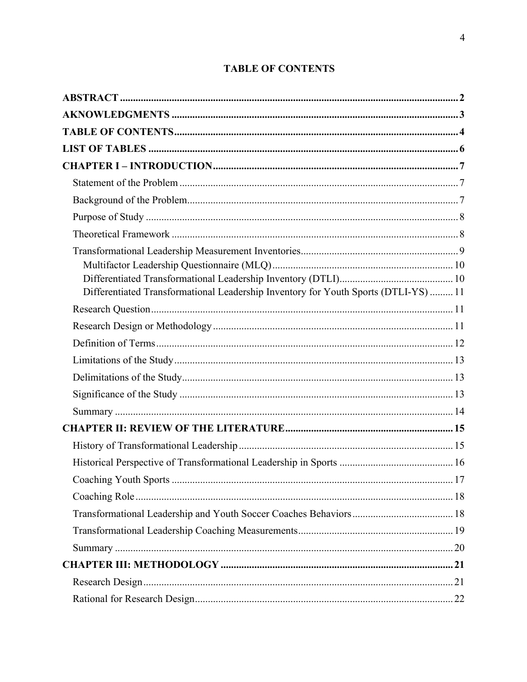| Differentiated Transformational Leadership Inventory for Youth Sports (DTLI-YS)  11 |  |
|-------------------------------------------------------------------------------------|--|
|                                                                                     |  |
|                                                                                     |  |
|                                                                                     |  |
|                                                                                     |  |
|                                                                                     |  |
|                                                                                     |  |
|                                                                                     |  |
|                                                                                     |  |
|                                                                                     |  |
|                                                                                     |  |
|                                                                                     |  |
|                                                                                     |  |
|                                                                                     |  |
|                                                                                     |  |
|                                                                                     |  |
|                                                                                     |  |
|                                                                                     |  |
|                                                                                     |  |

## **TABLE OF CONTENTS**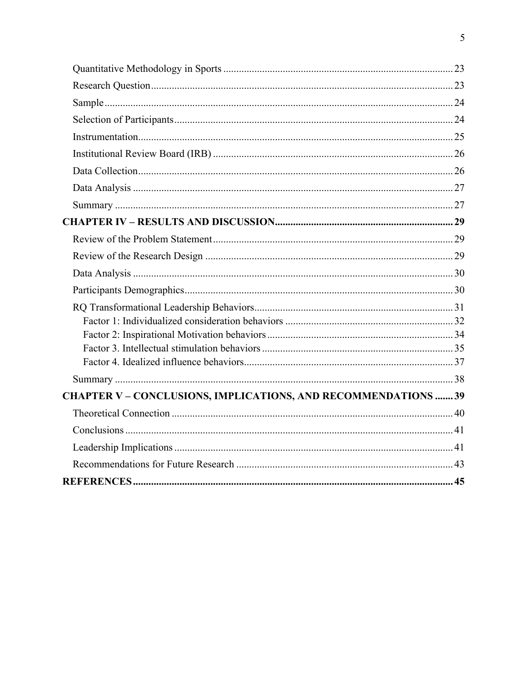| <b>CHAPTER V – CONCLUSIONS, IMPLICATIONS, AND RECOMMENDATIONS 39</b> |  |
|----------------------------------------------------------------------|--|
|                                                                      |  |
|                                                                      |  |
|                                                                      |  |
|                                                                      |  |
|                                                                      |  |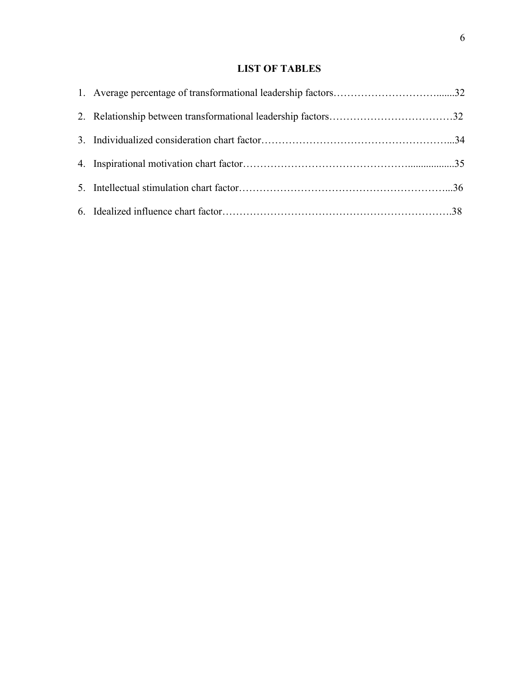## **LIST OF TABLES**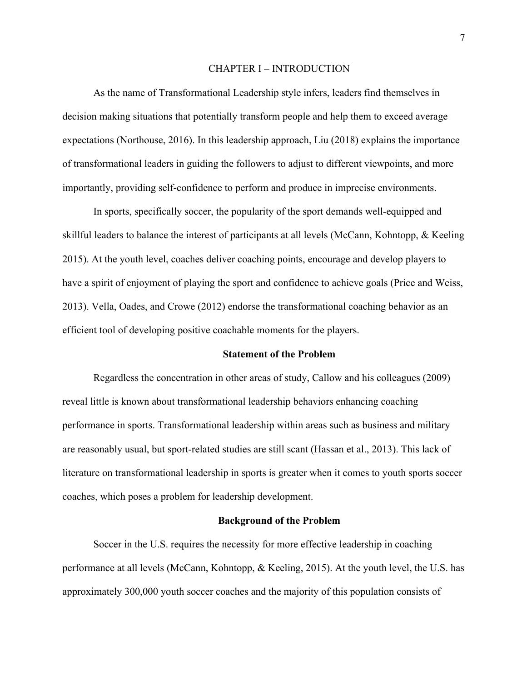#### CHAPTER I – INTRODUCTION

As the name of Transformational Leadership style infers, leaders find themselves in decision making situations that potentially transform people and help them to exceed average expectations (Northouse, 2016). In this leadership approach, Liu (2018) explains the importance of transformational leaders in guiding the followers to adjust to different viewpoints, and more importantly, providing self-confidence to perform and produce in imprecise environments.

In sports, specifically soccer, the popularity of the sport demands well-equipped and skillful leaders to balance the interest of participants at all levels (McCann, Kohntopp, & Keeling 2015). At the youth level, coaches deliver coaching points, encourage and develop players to have a spirit of enjoyment of playing the sport and confidence to achieve goals (Price and Weiss, 2013). Vella, Oades, and Crowe (2012) endorse the transformational coaching behavior as an efficient tool of developing positive coachable moments for the players.

## **Statement of the Problem**

Regardless the concentration in other areas of study, Callow and his colleagues (2009) reveal little is known about transformational leadership behaviors enhancing coaching performance in sports. Transformational leadership within areas such as business and military are reasonably usual, but sport-related studies are still scant (Hassan et al., 2013). This lack of literature on transformational leadership in sports is greater when it comes to youth sports soccer coaches, which poses a problem for leadership development.

### **Background of the Problem**

Soccer in the U.S. requires the necessity for more effective leadership in coaching performance at all levels (McCann, Kohntopp, & Keeling, 2015). At the youth level, the U.S. has approximately 300,000 youth soccer coaches and the majority of this population consists of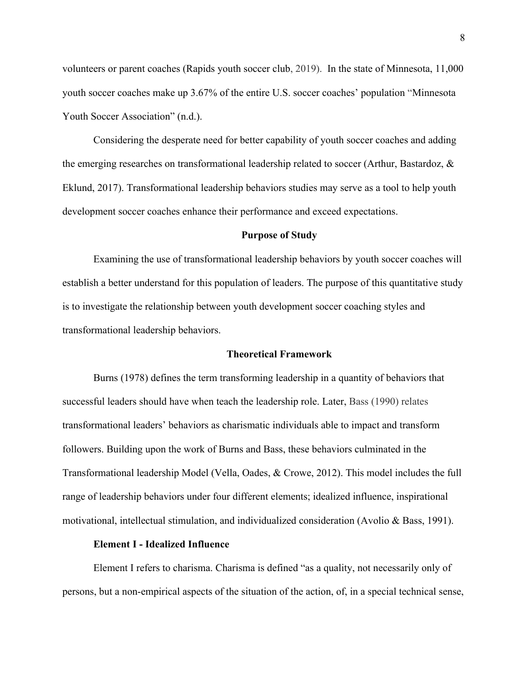volunteers or parent coaches (Rapids youth soccer club, 2019). In the state of Minnesota, 11,000 youth soccer coaches make up 3.67% of the entire U.S. soccer coaches' population "Minnesota Youth Soccer Association" (n.d.).

Considering the desperate need for better capability of youth soccer coaches and adding the emerging researches on transformational leadership related to soccer (Arthur, Bastardoz, & Eklund, 2017). Transformational leadership behaviors studies may serve as a tool to help youth development soccer coaches enhance their performance and exceed expectations.

#### **Purpose of Study**

Examining the use of transformational leadership behaviors by youth soccer coaches will establish a better understand for this population of leaders. The purpose of this quantitative study is to investigate the relationship between youth development soccer coaching styles and transformational leadership behaviors.

## **Theoretical Framework**

Burns (1978) defines the term transforming leadership in a quantity of behaviors that successful leaders should have when teach the leadership role. Later, Bass (1990) relates transformational leaders' behaviors as charismatic individuals able to impact and transform followers. Building upon the work of Burns and Bass, these behaviors culminated in the Transformational leadership Model (Vella, Oades, & Crowe, 2012). This model includes the full range of leadership behaviors under four different elements; idealized influence, inspirational motivational, intellectual stimulation, and individualized consideration (Avolio & Bass, 1991).

## **Element I - Idealized Influence**

Element I refers to charisma. Charisma is defined "as a quality, not necessarily only of persons, but a non-empirical aspects of the situation of the action, of, in a special technical sense,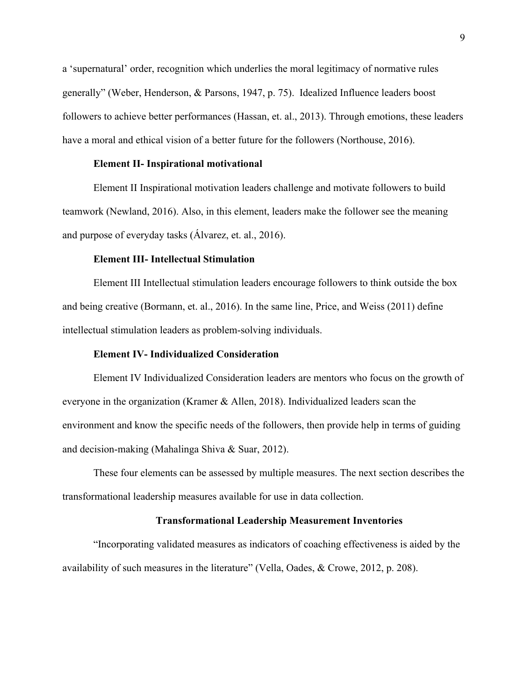a 'supernatural' order, recognition which underlies the moral legitimacy of normative rules generally" (Weber, Henderson, & Parsons, 1947, p. 75). Idealized Influence leaders boost followers to achieve better performances (Hassan, et. al., 2013). Through emotions, these leaders have a moral and ethical vision of a better future for the followers (Northouse, 2016).

#### **Element II- Inspirational motivational**

Element II Inspirational motivation leaders challenge and motivate followers to build teamwork (Newland, 2016). Also, in this element, leaders make the follower see the meaning and purpose of everyday tasks (Álvarez, et. al., 2016).

## **Element III- Intellectual Stimulation**

Element III Intellectual stimulation leaders encourage followers to think outside the box and being creative (Bormann, et. al., 2016). In the same line, Price, and Weiss (2011) define intellectual stimulation leaders as problem-solving individuals.

## **Element IV- Individualized Consideration**

Element IV Individualized Consideration leaders are mentors who focus on the growth of everyone in the organization (Kramer & Allen, 2018). Individualized leaders scan the environment and know the specific needs of the followers, then provide help in terms of guiding and decision-making (Mahalinga Shiva & Suar, 2012).

These four elements can be assessed by multiple measures. The next section describes the transformational leadership measures available for use in data collection.

## **Transformational Leadership Measurement Inventories**

"Incorporating validated measures as indicators of coaching effectiveness is aided by the availability of such measures in the literature" (Vella, Oades, & Crowe, 2012, p. 208).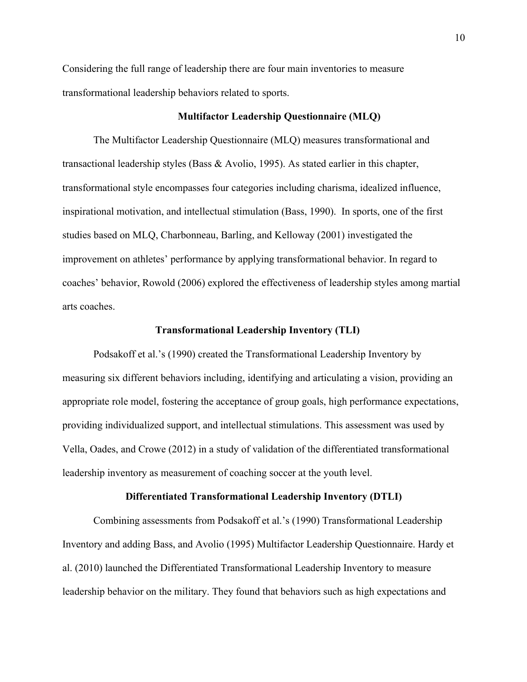Considering the full range of leadership there are four main inventories to measure transformational leadership behaviors related to sports.

## **Multifactor Leadership Questionnaire (MLQ)**

The Multifactor Leadership Questionnaire (MLQ) measures transformational and transactional leadership styles (Bass & Avolio, 1995). As stated earlier in this chapter, transformational style encompasses four categories including charisma, idealized influence, inspirational motivation, and intellectual stimulation (Bass, 1990). In sports, one of the first studies based on MLQ, Charbonneau, Barling, and Kelloway (2001) investigated the improvement on athletes' performance by applying transformational behavior. In regard to coaches' behavior, Rowold (2006) explored the effectiveness of leadership styles among martial arts coaches.

## **Transformational Leadership Inventory (TLI)**

Podsakoff et al.'s (1990) created the Transformational Leadership Inventory by measuring six different behaviors including, identifying and articulating a vision, providing an appropriate role model, fostering the acceptance of group goals, high performance expectations, providing individualized support, and intellectual stimulations. This assessment was used by Vella, Oades, and Crowe (2012) in a study of validation of the differentiated transformational leadership inventory as measurement of coaching soccer at the youth level.

## **Differentiated Transformational Leadership Inventory (DTLI)**

Combining assessments from Podsakoff et al.'s (1990) Transformational Leadership Inventory and adding Bass, and Avolio (1995) Multifactor Leadership Questionnaire. Hardy et al. (2010) launched the Differentiated Transformational Leadership Inventory to measure leadership behavior on the military. They found that behaviors such as high expectations and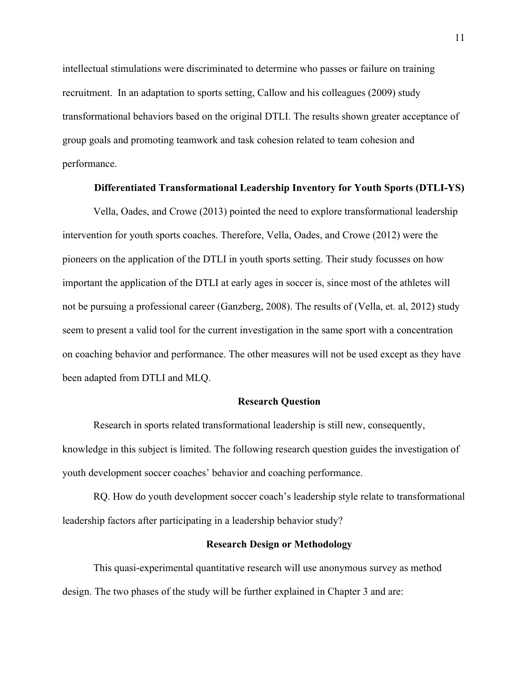intellectual stimulations were discriminated to determine who passes or failure on training recruitment. In an adaptation to sports setting, Callow and his colleagues (2009) study transformational behaviors based on the original DTLI. The results shown greater acceptance of group goals and promoting teamwork and task cohesion related to team cohesion and performance.

## **Differentiated Transformational Leadership Inventory for Youth Sports (DTLI-YS)**

Vella, Oades, and Crowe (2013) pointed the need to explore transformational leadership intervention for youth sports coaches. Therefore, Vella, Oades, and Crowe (2012) were the pioneers on the application of the DTLI in youth sports setting. Their study focusses on how important the application of the DTLI at early ages in soccer is, since most of the athletes will not be pursuing a professional career (Ganzberg, 2008). The results of (Vella, et. al, 2012) study seem to present a valid tool for the current investigation in the same sport with a concentration on coaching behavior and performance. The other measures will not be used except as they have been adapted from DTLI and MLQ.

#### **Research Question**

Research in sports related transformational leadership is still new, consequently, knowledge in this subject is limited. The following research question guides the investigation of youth development soccer coaches' behavior and coaching performance.

RQ. How do youth development soccer coach's leadership style relate to transformational leadership factors after participating in a leadership behavior study?

## **Research Design or Methodology**

This quasi-experimental quantitative research will use anonymous survey as method design. The two phases of the study will be further explained in Chapter 3 and are: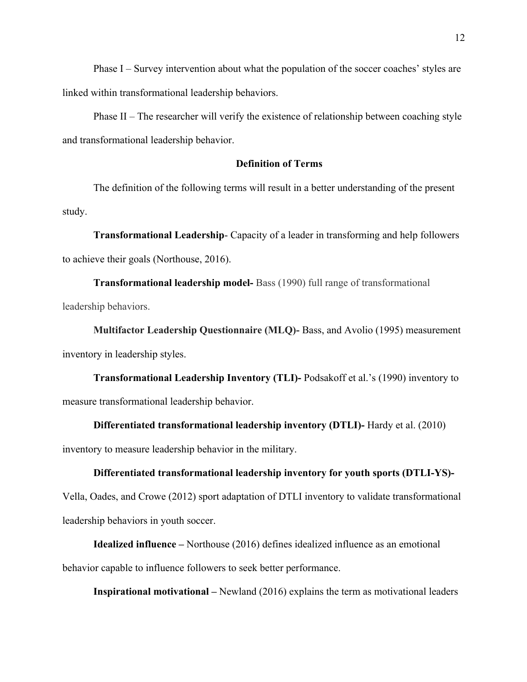Phase I – Survey intervention about what the population of the soccer coaches' styles are linked within transformational leadership behaviors.

Phase II – The researcher will verify the existence of relationship between coaching style and transformational leadership behavior.

## **Definition of Terms**

The definition of the following terms will result in a better understanding of the present study.

**Transformational Leadership**- Capacity of a leader in transforming and help followers to achieve their goals (Northouse, 2016).

**Transformational leadership model-** Bass (1990) full range of transformational leadership behaviors.

**Multifactor Leadership Questionnaire (MLQ)-** Bass, and Avolio (1995) measurement inventory in leadership styles.

**Transformational Leadership Inventory (TLI)-** Podsakoff et al.'s (1990) inventory to measure transformational leadership behavior.

**Differentiated transformational leadership inventory (DTLI)-** Hardy et al. (2010)

inventory to measure leadership behavior in the military.

#### **Differentiated transformational leadership inventory for youth sports (DTLI-YS)-**

Vella, Oades, and Crowe (2012) sport adaptation of DTLI inventory to validate transformational leadership behaviors in youth soccer.

**Idealized influence –** Northouse (2016) defines idealized influence as an emotional behavior capable to influence followers to seek better performance.

**Inspirational motivational –** Newland (2016) explains the term as motivational leaders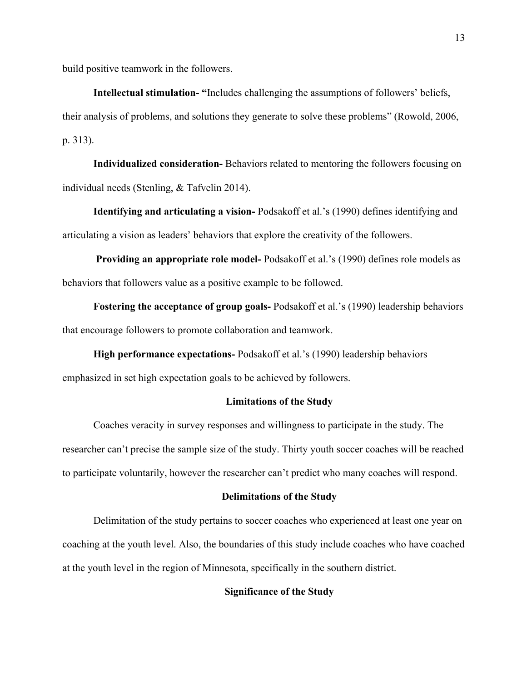build positive teamwork in the followers.

**Intellectual stimulation- "**Includes challenging the assumptions of followers' beliefs, their analysis of problems, and solutions they generate to solve these problems" (Rowold, 2006, p. 313).

**Individualized consideration-** Behaviors related to mentoring the followers focusing on individual needs (Stenling, & Tafvelin 2014).

**Identifying and articulating a vision-** Podsakoff et al.'s (1990) defines identifying and articulating a vision as leaders' behaviors that explore the creativity of the followers.

**Providing an appropriate role model-** Podsakoff et al.'s (1990) defines role models as behaviors that followers value as a positive example to be followed.

**Fostering the acceptance of group goals-** Podsakoff et al.'s (1990) leadership behaviors that encourage followers to promote collaboration and teamwork.

**High performance expectations-** Podsakoff et al.'s (1990) leadership behaviors emphasized in set high expectation goals to be achieved by followers.

## **Limitations of the Study**

Coaches veracity in survey responses and willingness to participate in the study. The researcher can't precise the sample size of the study. Thirty youth soccer coaches will be reached to participate voluntarily, however the researcher can't predict who many coaches will respond.

## **Delimitations of the Study**

Delimitation of the study pertains to soccer coaches who experienced at least one year on coaching at the youth level. Also, the boundaries of this study include coaches who have coached at the youth level in the region of Minnesota, specifically in the southern district.

## **Significance of the Study**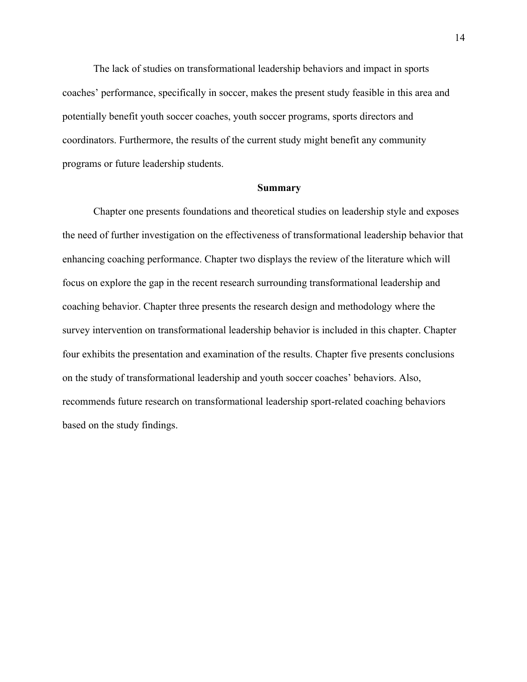The lack of studies on transformational leadership behaviors and impact in sports coaches' performance, specifically in soccer, makes the present study feasible in this area and potentially benefit youth soccer coaches, youth soccer programs, sports directors and coordinators. Furthermore, the results of the current study might benefit any community programs or future leadership students.

#### **Summary**

Chapter one presents foundations and theoretical studies on leadership style and exposes the need of further investigation on the effectiveness of transformational leadership behavior that enhancing coaching performance. Chapter two displays the review of the literature which will focus on explore the gap in the recent research surrounding transformational leadership and coaching behavior. Chapter three presents the research design and methodology where the survey intervention on transformational leadership behavior is included in this chapter. Chapter four exhibits the presentation and examination of the results. Chapter five presents conclusions on the study of transformational leadership and youth soccer coaches' behaviors. Also, recommends future research on transformational leadership sport-related coaching behaviors based on the study findings.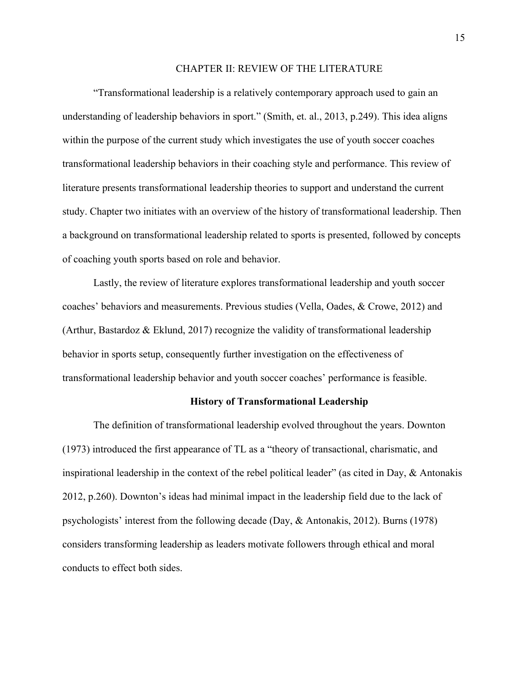#### CHAPTER II: REVIEW OF THE LITERATURE

"Transformational leadership is a relatively contemporary approach used to gain an understanding of leadership behaviors in sport." (Smith, et. al., 2013, p.249). This idea aligns within the purpose of the current study which investigates the use of youth soccer coaches transformational leadership behaviors in their coaching style and performance. This review of literature presents transformational leadership theories to support and understand the current study. Chapter two initiates with an overview of the history of transformational leadership. Then a background on transformational leadership related to sports is presented, followed by concepts of coaching youth sports based on role and behavior.

Lastly, the review of literature explores transformational leadership and youth soccer coaches' behaviors and measurements. Previous studies (Vella, Oades, & Crowe, 2012) and (Arthur, Bastardoz & Eklund, 2017) recognize the validity of transformational leadership behavior in sports setup, consequently further investigation on the effectiveness of transformational leadership behavior and youth soccer coaches' performance is feasible.

#### **History of Transformational Leadership**

The definition of transformational leadership evolved throughout the years. Downton (1973) introduced the first appearance of TL as a "theory of transactional, charismatic, and inspirational leadership in the context of the rebel political leader" (as cited in Day, & Antonakis 2012, p.260). Downton's ideas had minimal impact in the leadership field due to the lack of psychologists' interest from the following decade (Day, & Antonakis, 2012). Burns (1978) considers transforming leadership as leaders motivate followers through ethical and moral conducts to effect both sides.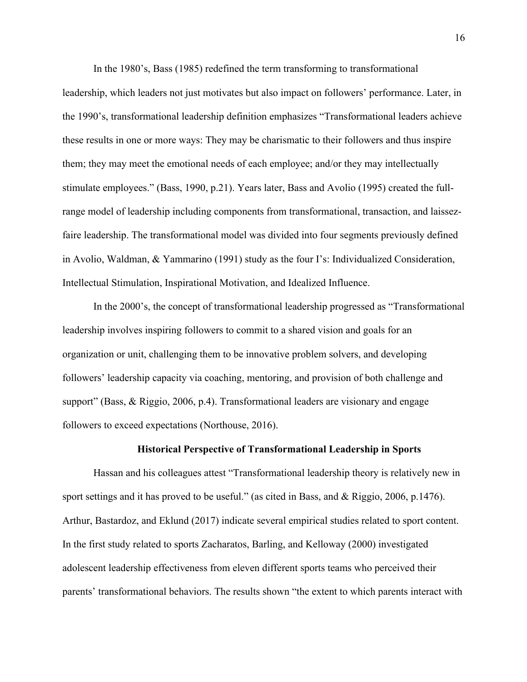In the 1980's, Bass (1985) redefined the term transforming to transformational

leadership, which leaders not just motivates but also impact on followers' performance. Later, in the 1990's, transformational leadership definition emphasizes "Transformational leaders achieve these results in one or more ways: They may be charismatic to their followers and thus inspire them; they may meet the emotional needs of each employee; and/or they may intellectually stimulate employees." (Bass, 1990, p.21). Years later, Bass and Avolio (1995) created the fullrange model of leadership including components from transformational, transaction, and laissezfaire leadership. The transformational model was divided into four segments previously defined in Avolio, Waldman, & Yammarino (1991) study as the four I's: Individualized Consideration, Intellectual Stimulation, Inspirational Motivation, and Idealized Influence.

In the 2000's, the concept of transformational leadership progressed as "Transformational leadership involves inspiring followers to commit to a shared vision and goals for an organization or unit, challenging them to be innovative problem solvers, and developing followers' leadership capacity via coaching, mentoring, and provision of both challenge and support" (Bass, & Riggio, 2006, p.4). Transformational leaders are visionary and engage followers to exceed expectations (Northouse, 2016).

## **Historical Perspective of Transformational Leadership in Sports**

Hassan and his colleagues attest "Transformational leadership theory is relatively new in sport settings and it has proved to be useful." (as cited in Bass, and & Riggio, 2006, p.1476). Arthur, Bastardoz, and Eklund (2017) indicate several empirical studies related to sport content. In the first study related to sports Zacharatos, Barling, and Kelloway (2000) investigated adolescent leadership effectiveness from eleven different sports teams who perceived their parents' transformational behaviors. The results shown "the extent to which parents interact with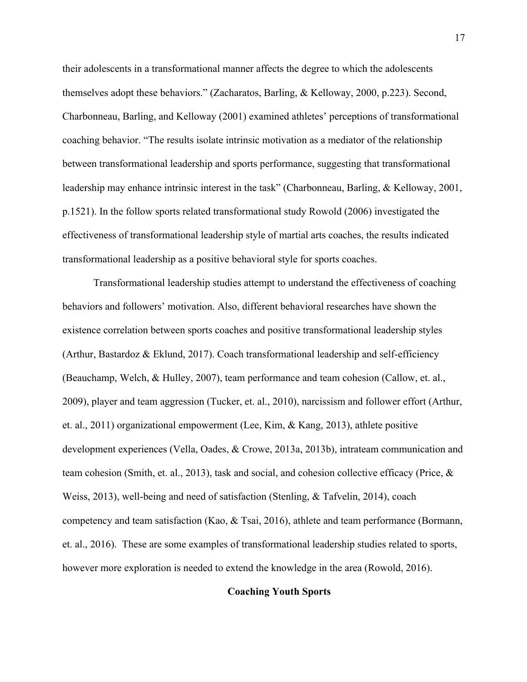their adolescents in a transformational manner affects the degree to which the adolescents themselves adopt these behaviors." (Zacharatos, Barling, & Kelloway, 2000, p.223). Second, Charbonneau, Barling, and Kelloway (2001) examined athletes' perceptions of transformational coaching behavior. "The results isolate intrinsic motivation as a mediator of the relationship between transformational leadership and sports performance, suggesting that transformational leadership may enhance intrinsic interest in the task" (Charbonneau, Barling, & Kelloway, 2001, p.1521). In the follow sports related transformational study Rowold (2006) investigated the effectiveness of transformational leadership style of martial arts coaches, the results indicated transformational leadership as a positive behavioral style for sports coaches.

Transformational leadership studies attempt to understand the effectiveness of coaching behaviors and followers' motivation. Also, different behavioral researches have shown the existence correlation between sports coaches and positive transformational leadership styles (Arthur, Bastardoz & Eklund, 2017). Coach transformational leadership and self-efficiency (Beauchamp, Welch, & Hulley, 2007), team performance and team cohesion (Callow, et. al., 2009), player and team aggression (Tucker, et. al., 2010), narcissism and follower effort (Arthur, et. al., 2011) organizational empowerment (Lee, Kim, & Kang, 2013), athlete positive development experiences (Vella, Oades, & Crowe, 2013a, 2013b), intrateam communication and team cohesion (Smith, et. al., 2013), task and social, and cohesion collective efficacy (Price, & Weiss, 2013), well-being and need of satisfaction (Stenling, & Tafvelin, 2014), coach competency and team satisfaction (Kao, & Tsai, 2016), athlete and team performance (Bormann, et. al., 2016). These are some examples of transformational leadership studies related to sports, however more exploration is needed to extend the knowledge in the area (Rowold, 2016).

## **Coaching Youth Sports**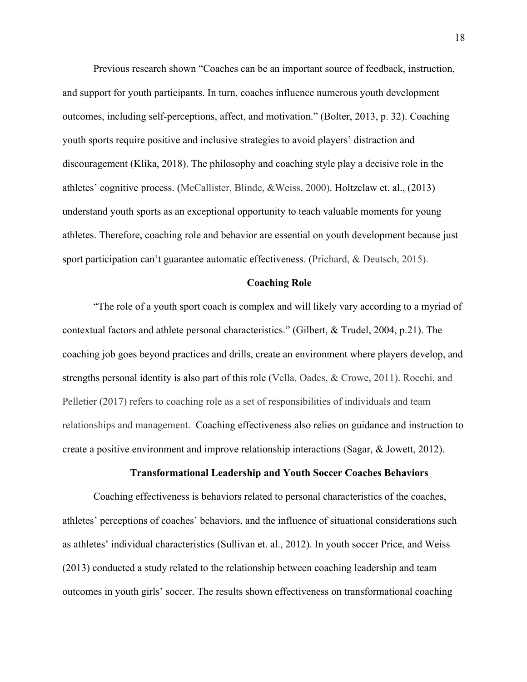Previous research shown "Coaches can be an important source of feedback, instruction, and support for youth participants. In turn, coaches influence numerous youth development outcomes, including self-perceptions, affect, and motivation." (Bolter, 2013, p. 32). Coaching youth sports require positive and inclusive strategies to avoid players' distraction and discouragement (Klika, 2018). The philosophy and coaching style play a decisive role in the athletes' cognitive process. (McCallister, Blinde, &Weiss, 2000). Holtzclaw et. al., (2013) understand youth sports as an exceptional opportunity to teach valuable moments for young athletes. Therefore, coaching role and behavior are essential on youth development because just sport participation can't guarantee automatic effectiveness. (Prichard, & Deutsch, 2015).

## **Coaching Role**

"The role of a youth sport coach is complex and will likely vary according to a myriad of contextual factors and athlete personal characteristics." (Gilbert, & Trudel, 2004, p.21). The coaching job goes beyond practices and drills, create an environment where players develop, and strengths personal identity is also part of this role (Vella, Oades, & Crowe, 2011). Rocchi, and Pelletier (2017) refers to coaching role as a set of responsibilities of individuals and team relationships and management. Coaching effectiveness also relies on guidance and instruction to create a positive environment and improve relationship interactions (Sagar, & Jowett, 2012).

## **Transformational Leadership and Youth Soccer Coaches Behaviors**

Coaching effectiveness is behaviors related to personal characteristics of the coaches, athletes' perceptions of coaches' behaviors, and the influence of situational considerations such as athletes' individual characteristics (Sullivan et. al., 2012). In youth soccer Price, and Weiss (2013) conducted a study related to the relationship between coaching leadership and team outcomes in youth girls' soccer. The results shown effectiveness on transformational coaching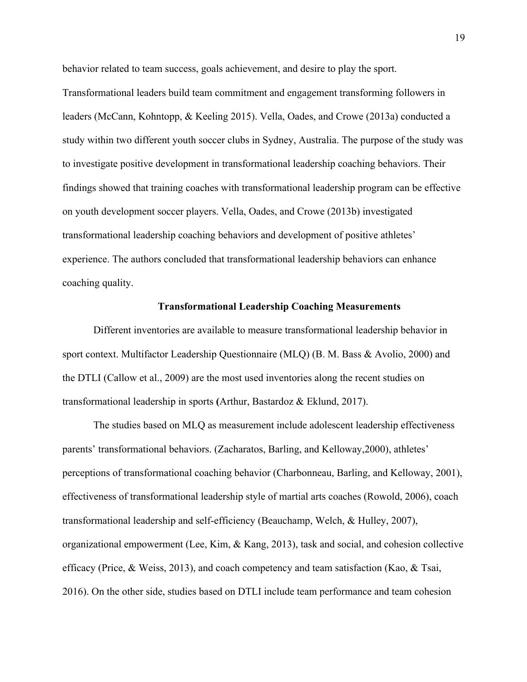behavior related to team success, goals achievement, and desire to play the sport.

Transformational leaders build team commitment and engagement transforming followers in leaders (McCann, Kohntopp, & Keeling 2015). Vella, Oades, and Crowe (2013a) conducted a study within two different youth soccer clubs in Sydney, Australia. The purpose of the study was to investigate positive development in transformational leadership coaching behaviors. Their findings showed that training coaches with transformational leadership program can be effective on youth development soccer players. Vella, Oades, and Crowe (2013b) investigated transformational leadership coaching behaviors and development of positive athletes' experience. The authors concluded that transformational leadership behaviors can enhance coaching quality.

#### **Transformational Leadership Coaching Measurements**

Different inventories are available to measure transformational leadership behavior in sport context. Multifactor Leadership Questionnaire (MLQ) (B. M. Bass & Avolio, 2000) and the DTLI (Callow et al., 2009) are the most used inventories along the recent studies on transformational leadership in sports **(**Arthur, Bastardoz & Eklund, 2017).

The studies based on MLQ as measurement include adolescent leadership effectiveness parents' transformational behaviors. (Zacharatos, Barling, and Kelloway,2000), athletes' perceptions of transformational coaching behavior (Charbonneau, Barling, and Kelloway, 2001), effectiveness of transformational leadership style of martial arts coaches (Rowold, 2006), coach transformational leadership and self-efficiency (Beauchamp, Welch, & Hulley, 2007), organizational empowerment (Lee, Kim, & Kang, 2013), task and social, and cohesion collective efficacy (Price, & Weiss, 2013), and coach competency and team satisfaction (Kao, & Tsai, 2016). On the other side, studies based on DTLI include team performance and team cohesion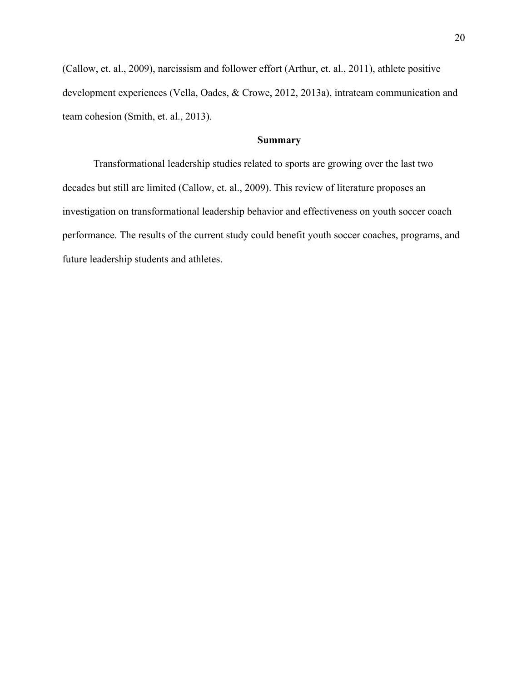(Callow, et. al., 2009), narcissism and follower effort (Arthur, et. al., 2011), athlete positive development experiences (Vella, Oades, & Crowe, 2012, 2013a), intrateam communication and team cohesion (Smith, et. al., 2013).

## **Summary**

Transformational leadership studies related to sports are growing over the last two decades but still are limited (Callow, et. al., 2009). This review of literature proposes an investigation on transformational leadership behavior and effectiveness on youth soccer coach performance. The results of the current study could benefit youth soccer coaches, programs, and future leadership students and athletes.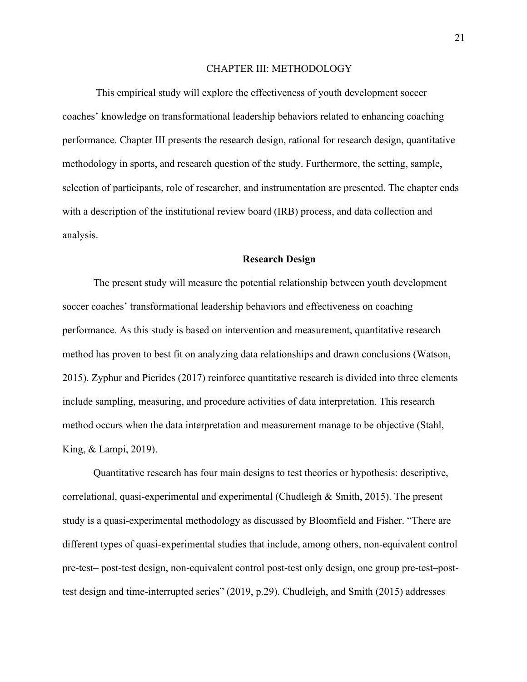#### CHAPTER III: METHODOLOGY

This empirical study will explore the effectiveness of youth development soccer coaches' knowledge on transformational leadership behaviors related to enhancing coaching performance. Chapter III presents the research design, rational for research design, quantitative methodology in sports, and research question of the study. Furthermore, the setting, sample, selection of participants, role of researcher, and instrumentation are presented. The chapter ends with a description of the institutional review board (IRB) process, and data collection and analysis.

#### **Research Design**

The present study will measure the potential relationship between youth development soccer coaches' transformational leadership behaviors and effectiveness on coaching performance. As this study is based on intervention and measurement, quantitative research method has proven to best fit on analyzing data relationships and drawn conclusions (Watson, 2015). Zyphur and Pierides (2017) reinforce quantitative research is divided into three elements include sampling, measuring, and procedure activities of data interpretation. This research method occurs when the data interpretation and measurement manage to be objective (Stahl, King, & Lampi, 2019).

Quantitative research has four main designs to test theories or hypothesis: descriptive, correlational, quasi-experimental and experimental (Chudleigh & Smith, 2015). The present study is a quasi-experimental methodology as discussed by Bloomfield and Fisher. "There are different types of quasi-experimental studies that include, among others, non-equivalent control pre-test– post-test design, non-equivalent control post-test only design, one group pre-test–posttest design and time-interrupted series" (2019, p.29). Chudleigh, and Smith (2015) addresses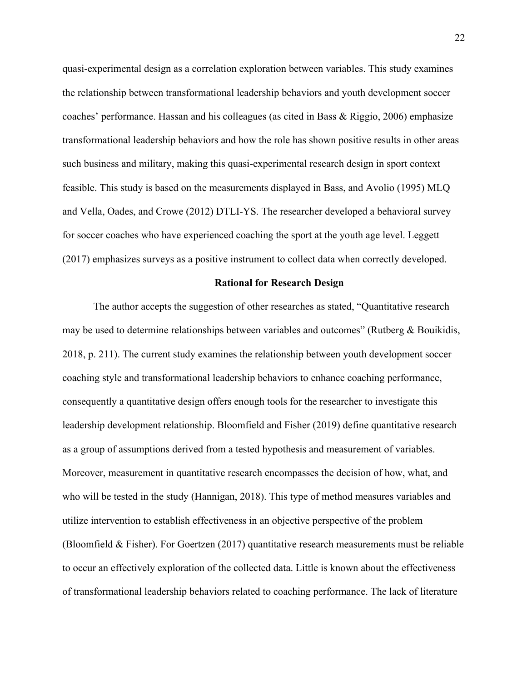quasi-experimental design as a correlation exploration between variables. This study examines the relationship between transformational leadership behaviors and youth development soccer coaches' performance. Hassan and his colleagues (as cited in Bass & Riggio, 2006) emphasize transformational leadership behaviors and how the role has shown positive results in other areas such business and military, making this quasi-experimental research design in sport context feasible. This study is based on the measurements displayed in Bass, and Avolio (1995) MLQ and Vella, Oades, and Crowe (2012) DTLI-YS. The researcher developed a behavioral survey for soccer coaches who have experienced coaching the sport at the youth age level. Leggett (2017) emphasizes surveys as a positive instrument to collect data when correctly developed.

#### **Rational for Research Design**

The author accepts the suggestion of other researches as stated, "Quantitative research may be used to determine relationships between variables and outcomes" (Rutberg  $\&$  Bouikidis, 2018, p. 211). The current study examines the relationship between youth development soccer coaching style and transformational leadership behaviors to enhance coaching performance, consequently a quantitative design offers enough tools for the researcher to investigate this leadership development relationship. Bloomfield and Fisher (2019) define quantitative research as a group of assumptions derived from a tested hypothesis and measurement of variables. Moreover, measurement in quantitative research encompasses the decision of how, what, and who will be tested in the study (Hannigan, 2018). This type of method measures variables and utilize intervention to establish effectiveness in an objective perspective of the problem (Bloomfield & Fisher). For Goertzen (2017) quantitative research measurements must be reliable to occur an effectively exploration of the collected data. Little is known about the effectiveness of transformational leadership behaviors related to coaching performance. The lack of literature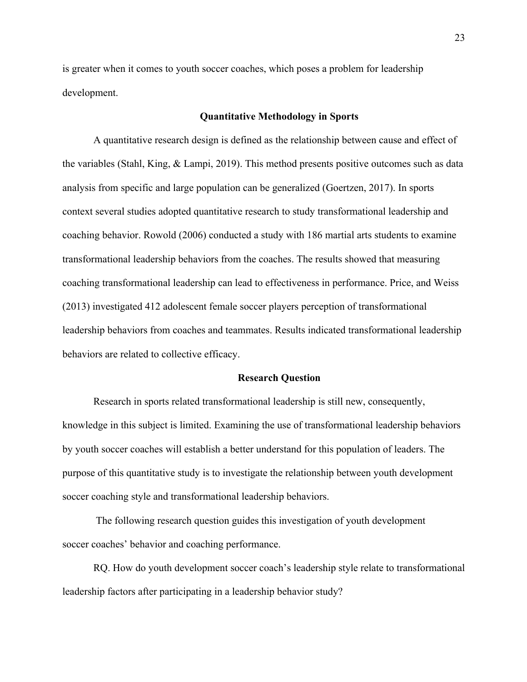is greater when it comes to youth soccer coaches, which poses a problem for leadership development.

#### **Quantitative Methodology in Sports**

A quantitative research design is defined as the relationship between cause and effect of the variables (Stahl, King, & Lampi, 2019). This method presents positive outcomes such as data analysis from specific and large population can be generalized (Goertzen, 2017). In sports context several studies adopted quantitative research to study transformational leadership and coaching behavior. Rowold (2006) conducted a study with 186 martial arts students to examine transformational leadership behaviors from the coaches. The results showed that measuring coaching transformational leadership can lead to effectiveness in performance. Price, and Weiss (2013) investigated 412 adolescent female soccer players perception of transformational leadership behaviors from coaches and teammates. Results indicated transformational leadership behaviors are related to collective efficacy.

#### **Research Question**

Research in sports related transformational leadership is still new, consequently, knowledge in this subject is limited. Examining the use of transformational leadership behaviors by youth soccer coaches will establish a better understand for this population of leaders. The purpose of this quantitative study is to investigate the relationship between youth development soccer coaching style and transformational leadership behaviors.

The following research question guides this investigation of youth development soccer coaches' behavior and coaching performance.

RQ. How do youth development soccer coach's leadership style relate to transformational leadership factors after participating in a leadership behavior study?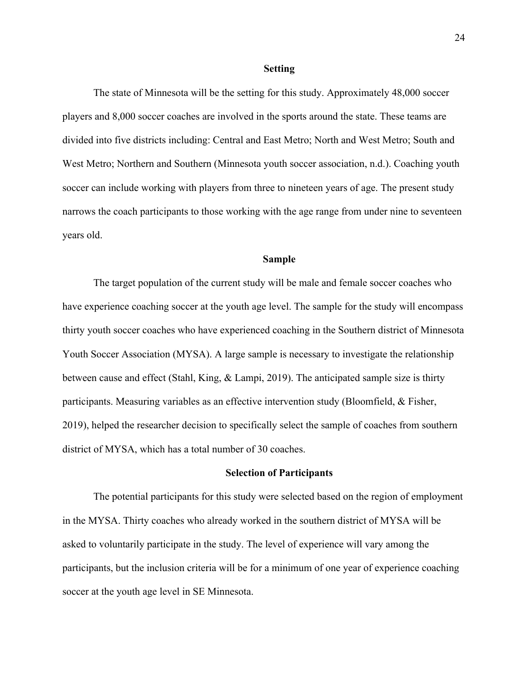#### **Setting**

The state of Minnesota will be the setting for this study. Approximately 48,000 soccer players and 8,000 soccer coaches are involved in the sports around the state. These teams are divided into five districts including: Central and East Metro; North and West Metro; South and West Metro; Northern and Southern (Minnesota youth soccer association, n.d.). Coaching youth soccer can include working with players from three to nineteen years of age. The present study narrows the coach participants to those working with the age range from under nine to seventeen years old.

#### **Sample**

The target population of the current study will be male and female soccer coaches who have experience coaching soccer at the youth age level. The sample for the study will encompass thirty youth soccer coaches who have experienced coaching in the Southern district of Minnesota Youth Soccer Association (MYSA). A large sample is necessary to investigate the relationship between cause and effect (Stahl, King, & Lampi, 2019). The anticipated sample size is thirty participants. Measuring variables as an effective intervention study (Bloomfield, & Fisher, 2019), helped the researcher decision to specifically select the sample of coaches from southern district of MYSA, which has a total number of 30 coaches.

#### **Selection of Participants**

The potential participants for this study were selected based on the region of employment in the MYSA. Thirty coaches who already worked in the southern district of MYSA will be asked to voluntarily participate in the study. The level of experience will vary among the participants, but the inclusion criteria will be for a minimum of one year of experience coaching soccer at the youth age level in SE Minnesota.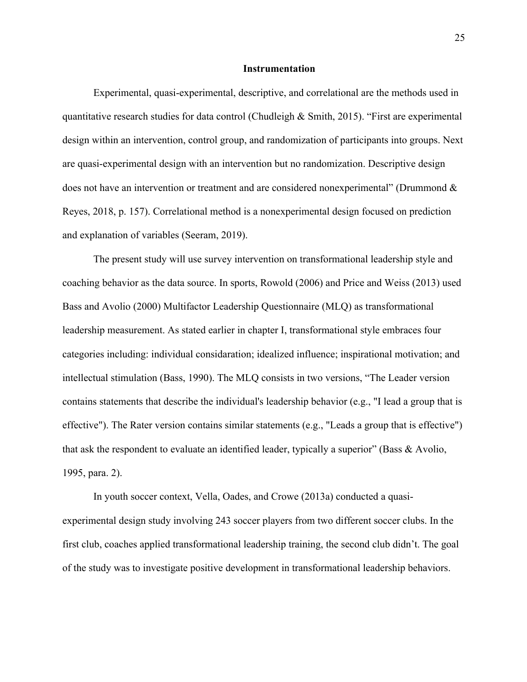#### **Instrumentation**

Experimental, quasi-experimental, descriptive, and correlational are the methods used in quantitative research studies for data control (Chudleigh & Smith, 2015). "First are experimental design within an intervention, control group, and randomization of participants into groups. Next are quasi-experimental design with an intervention but no randomization. Descriptive design does not have an intervention or treatment and are considered nonexperimental" (Drummond & Reyes, 2018, p. 157). Correlational method is a nonexperimental design focused on prediction and explanation of variables (Seeram, 2019).

The present study will use survey intervention on transformational leadership style and coaching behavior as the data source. In sports, Rowold (2006) and Price and Weiss (2013) used Bass and Avolio (2000) Multifactor Leadership Questionnaire (MLQ) as transformational leadership measurement. As stated earlier in chapter I, transformational style embraces four categories including: individual considaration; idealized influence; inspirational motivation; and intellectual stimulation (Bass, 1990). The MLQ consists in two versions, "The Leader version contains statements that describe the individual's leadership behavior (e.g., "I lead a group that is effective"). The Rater version contains similar statements (e.g., "Leads a group that is effective") that ask the respondent to evaluate an identified leader, typically a superior" (Bass & Avolio, 1995, para. 2).

In youth soccer context, Vella, Oades, and Crowe (2013a) conducted a quasiexperimental design study involving 243 soccer players from two different soccer clubs. In the first club, coaches applied transformational leadership training, the second club didn't. The goal of the study was to investigate positive development in transformational leadership behaviors.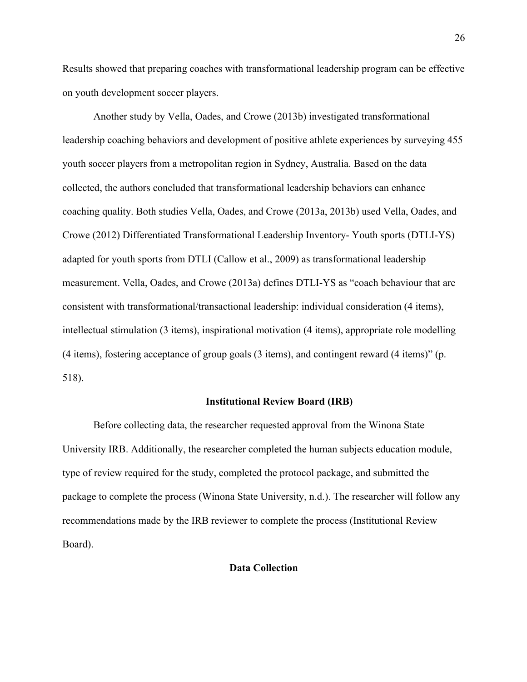Results showed that preparing coaches with transformational leadership program can be effective on youth development soccer players.

Another study by Vella, Oades, and Crowe (2013b) investigated transformational leadership coaching behaviors and development of positive athlete experiences by surveying 455 youth soccer players from a metropolitan region in Sydney, Australia. Based on the data collected, the authors concluded that transformational leadership behaviors can enhance coaching quality. Both studies Vella, Oades, and Crowe (2013a, 2013b) used Vella, Oades, and Crowe (2012) Differentiated Transformational Leadership Inventory- Youth sports (DTLI-YS) adapted for youth sports from DTLI (Callow et al., 2009) as transformational leadership measurement. Vella, Oades, and Crowe (2013a) defines DTLI-YS as "coach behaviour that are consistent with transformational/transactional leadership: individual consideration (4 items), intellectual stimulation (3 items), inspirational motivation (4 items), appropriate role modelling (4 items), fostering acceptance of group goals (3 items), and contingent reward (4 items)" (p. 518).

## **Institutional Review Board (IRB)**

Before collecting data, the researcher requested approval from the Winona State University IRB. Additionally, the researcher completed the human subjects education module, type of review required for the study, completed the protocol package, and submitted the package to complete the process (Winona State University, n.d.). The researcher will follow any recommendations made by the IRB reviewer to complete the process (Institutional Review Board).

## **Data Collection**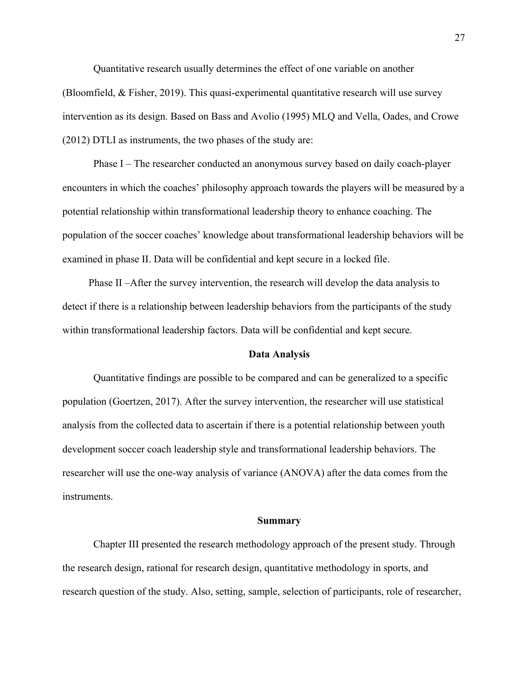Quantitative research usually determines the effect of one variable on another (Bloomfield, & Fisher, 2019). This quasi-experimental quantitative research will use survey intervention as its design. Based on Bass and Avolio (1995) MLQ and Vella, Oades, and Crowe (2012) DTLI as instruments, the two phases of the study are:

Phase I – The researcher conducted an anonymous survey based on daily coach-player encounters in which the coaches' philosophy approach towards the players will be measured by a potential relationship within transformational leadership theory to enhance coaching. The population of the soccer coaches' knowledge about transformational leadership behaviors will be examined in phase II. Data will be confidential and kept secure in a locked file.

Phase II –After the survey intervention, the research will develop the data analysis to detect if there is a relationship between leadership behaviors from the participants of the study within transformational leadership factors. Data will be confidential and kept secure.

#### **Data Analysis**

Quantitative findings are possible to be compared and can be generalized to a specific population (Goertzen, 2017). After the survey intervention, the researcher will use statistical analysis from the collected data to ascertain if there is a potential relationship between youth development soccer coach leadership style and transformational leadership behaviors. The researcher will use the one-way analysis of variance (ANOVA) after the data comes from the instruments.

#### **Summary**

Chapter III presented the research methodology approach of the present study. Through the research design, rational for research design, quantitative methodology in sports, and research question of the study. Also, setting, sample, selection of participants, role of researcher,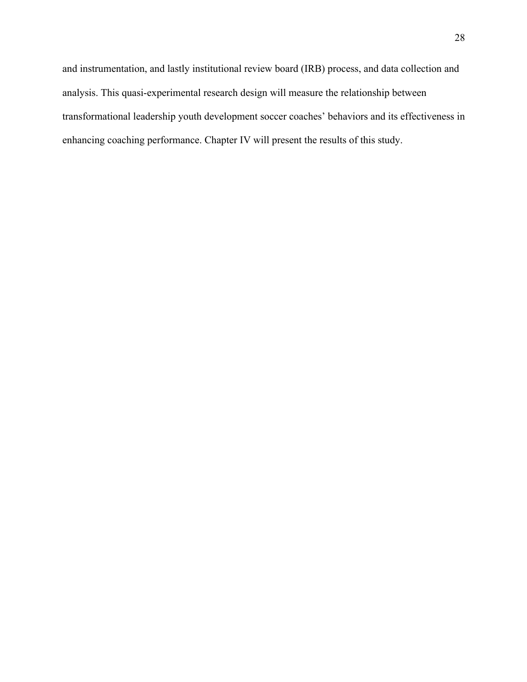and instrumentation, and lastly institutional review board (IRB) process, and data collection and analysis. This quasi-experimental research design will measure the relationship between transformational leadership youth development soccer coaches' behaviors and its effectiveness in enhancing coaching performance. Chapter IV will present the results of this study.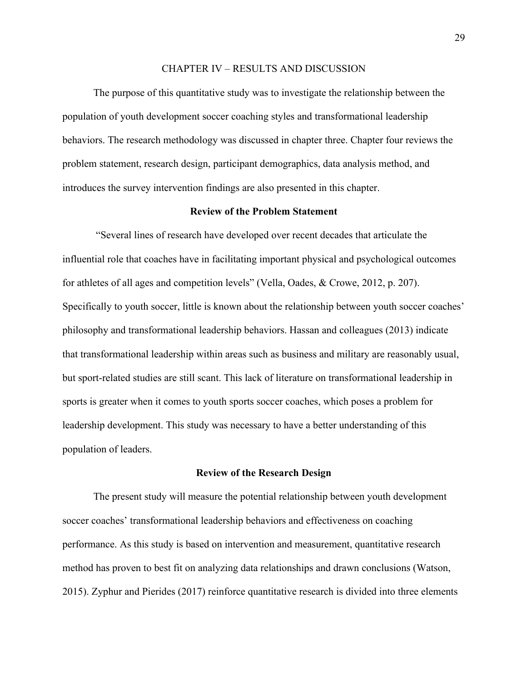#### CHAPTER IV – RESULTS AND DISCUSSION

The purpose of this quantitative study was to investigate the relationship between the population of youth development soccer coaching styles and transformational leadership behaviors. The research methodology was discussed in chapter three. Chapter four reviews the problem statement, research design, participant demographics, data analysis method, and introduces the survey intervention findings are also presented in this chapter.

## **Review of the Problem Statement**

"Several lines of research have developed over recent decades that articulate the influential role that coaches have in facilitating important physical and psychological outcomes for athletes of all ages and competition levels" (Vella, Oades, & Crowe, 2012, p. 207). Specifically to youth soccer, little is known about the relationship between youth soccer coaches' philosophy and transformational leadership behaviors. Hassan and colleagues (2013) indicate that transformational leadership within areas such as business and military are reasonably usual, but sport-related studies are still scant. This lack of literature on transformational leadership in sports is greater when it comes to youth sports soccer coaches, which poses a problem for leadership development. This study was necessary to have a better understanding of this population of leaders.

#### **Review of the Research Design**

The present study will measure the potential relationship between youth development soccer coaches' transformational leadership behaviors and effectiveness on coaching performance. As this study is based on intervention and measurement, quantitative research method has proven to best fit on analyzing data relationships and drawn conclusions (Watson, 2015). Zyphur and Pierides (2017) reinforce quantitative research is divided into three elements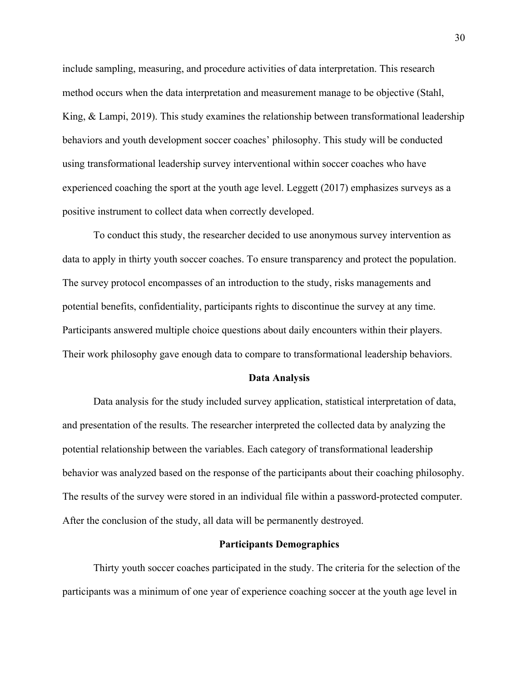include sampling, measuring, and procedure activities of data interpretation. This research method occurs when the data interpretation and measurement manage to be objective (Stahl, King, & Lampi, 2019). This study examines the relationship between transformational leadership behaviors and youth development soccer coaches' philosophy. This study will be conducted using transformational leadership survey interventional within soccer coaches who have experienced coaching the sport at the youth age level. Leggett (2017) emphasizes surveys as a positive instrument to collect data when correctly developed.

To conduct this study, the researcher decided to use anonymous survey intervention as data to apply in thirty youth soccer coaches. To ensure transparency and protect the population. The survey protocol encompasses of an introduction to the study, risks managements and potential benefits, confidentiality, participants rights to discontinue the survey at any time. Participants answered multiple choice questions about daily encounters within their players. Their work philosophy gave enough data to compare to transformational leadership behaviors.

#### **Data Analysis**

Data analysis for the study included survey application, statistical interpretation of data, and presentation of the results. The researcher interpreted the collected data by analyzing the potential relationship between the variables. Each category of transformational leadership behavior was analyzed based on the response of the participants about their coaching philosophy. The results of the survey were stored in an individual file within a password-protected computer. After the conclusion of the study, all data will be permanently destroyed.

## **Participants Demographics**

Thirty youth soccer coaches participated in the study. The criteria for the selection of the participants was a minimum of one year of experience coaching soccer at the youth age level in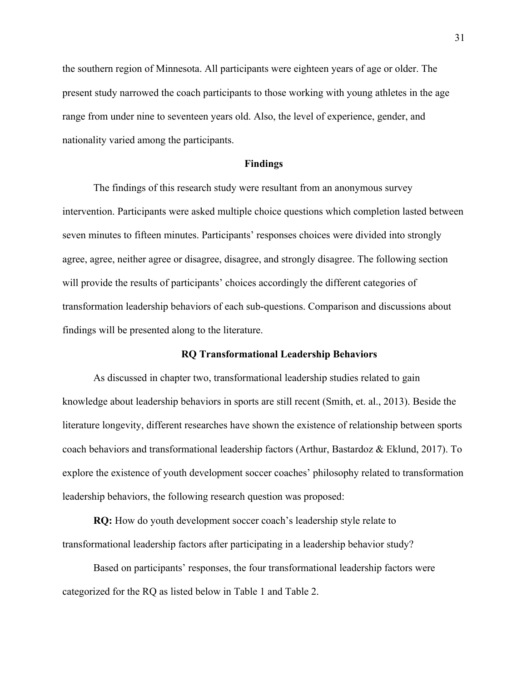the southern region of Minnesota. All participants were eighteen years of age or older. The present study narrowed the coach participants to those working with young athletes in the age range from under nine to seventeen years old. Also, the level of experience, gender, and nationality varied among the participants.

#### **Findings**

The findings of this research study were resultant from an anonymous survey intervention. Participants were asked multiple choice questions which completion lasted between seven minutes to fifteen minutes. Participants' responses choices were divided into strongly agree, agree, neither agree or disagree, disagree, and strongly disagree. The following section will provide the results of participants' choices accordingly the different categories of transformation leadership behaviors of each sub-questions. Comparison and discussions about findings will be presented along to the literature.

#### **RQ Transformational Leadership Behaviors**

As discussed in chapter two, transformational leadership studies related to gain knowledge about leadership behaviors in sports are still recent (Smith, et. al., 2013). Beside the literature longevity, different researches have shown the existence of relationship between sports coach behaviors and transformational leadership factors (Arthur, Bastardoz & Eklund, 2017). To explore the existence of youth development soccer coaches' philosophy related to transformation leadership behaviors, the following research question was proposed:

**RQ:** How do youth development soccer coach's leadership style relate to transformational leadership factors after participating in a leadership behavior study?

Based on participants' responses, the four transformational leadership factors were categorized for the RQ as listed below in Table 1 and Table 2.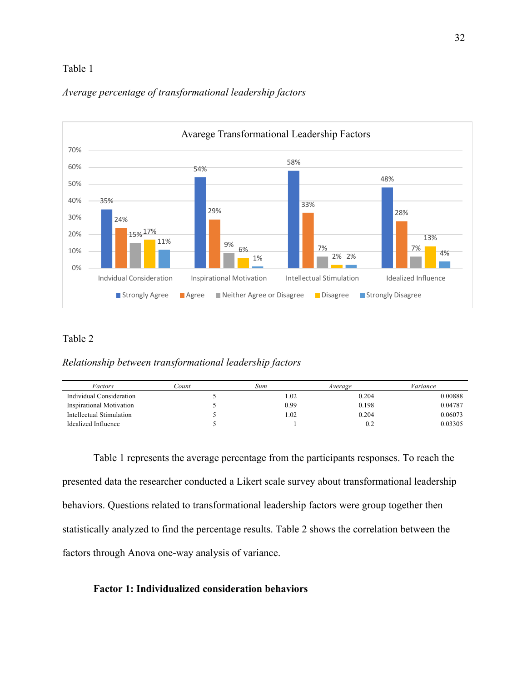## Table 1



## *Average percentage of transformational leadership factors*

## Table 2

*Relationship between transformational leadership factors*

| Factors                  | Count | Sum  | Average | Variance |
|--------------------------|-------|------|---------|----------|
| Individual Consideration |       | 1.02 | 0.204   | 0.00888  |
| Inspirational Motivation |       | 0.99 | 0.198   | 0.04787  |
| Intellectual Stimulation |       | 1.02 | 0.204   | 0.06073  |
| Idealized Influence      |       |      | 0.2     | 0.03305  |

Table 1 represents the average percentage from the participants responses. To reach the presented data the researcher conducted a Likert scale survey about transformational leadership behaviors. Questions related to transformational leadership factors were group together then statistically analyzed to find the percentage results. Table 2 shows the correlation between the factors through Anova one-way analysis of variance.

## **Factor 1: Individualized consideration behaviors**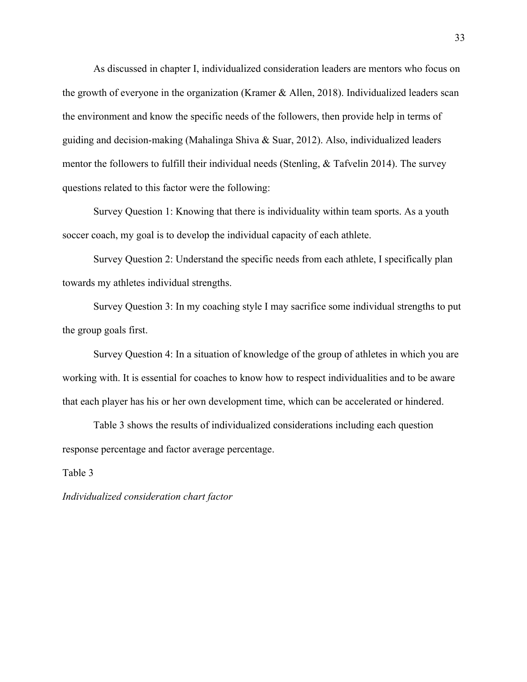As discussed in chapter I, individualized consideration leaders are mentors who focus on the growth of everyone in the organization (Kramer & Allen, 2018). Individualized leaders scan the environment and know the specific needs of the followers, then provide help in terms of guiding and decision-making (Mahalinga Shiva & Suar, 2012). Also, individualized leaders mentor the followers to fulfill their individual needs (Stenling, & Tafvelin 2014). The survey questions related to this factor were the following:

Survey Question 1: Knowing that there is individuality within team sports. As a youth soccer coach, my goal is to develop the individual capacity of each athlete.

Survey Question 2: Understand the specific needs from each athlete, I specifically plan towards my athletes individual strengths.

Survey Question 3: In my coaching style I may sacrifice some individual strengths to put the group goals first.

Survey Question 4: In a situation of knowledge of the group of athletes in which you are working with. It is essential for coaches to know how to respect individualities and to be aware that each player has his or her own development time, which can be accelerated or hindered.

Table 3 shows the results of individualized considerations including each question response percentage and factor average percentage.

#### Table 3

*Individualized consideration chart factor*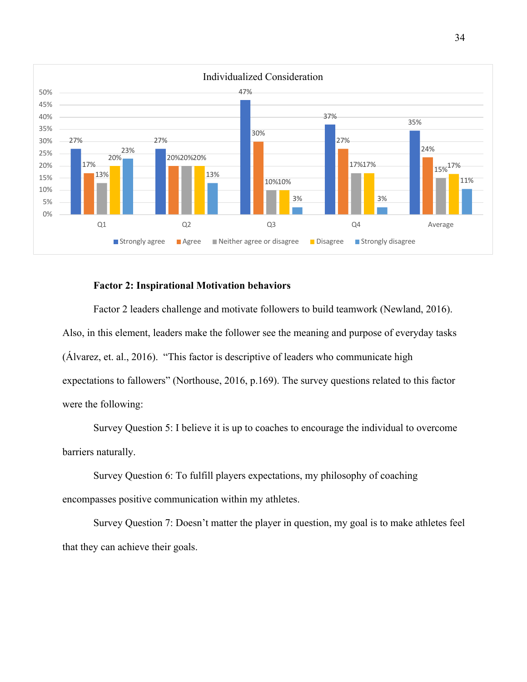

## **Factor 2: Inspirational Motivation behaviors**

Factor 2 leaders challenge and motivate followers to build teamwork (Newland, 2016). Also, in this element, leaders make the follower see the meaning and purpose of everyday tasks (Álvarez, et. al., 2016). "This factor is descriptive of leaders who communicate high expectations to fallowers" (Northouse, 2016, p.169). The survey questions related to this factor were the following:

Survey Question 5: I believe it is up to coaches to encourage the individual to overcome barriers naturally.

Survey Question 6: To fulfill players expectations, my philosophy of coaching encompasses positive communication within my athletes.

Survey Question 7: Doesn't matter the player in question, my goal is to make athletes feel that they can achieve their goals.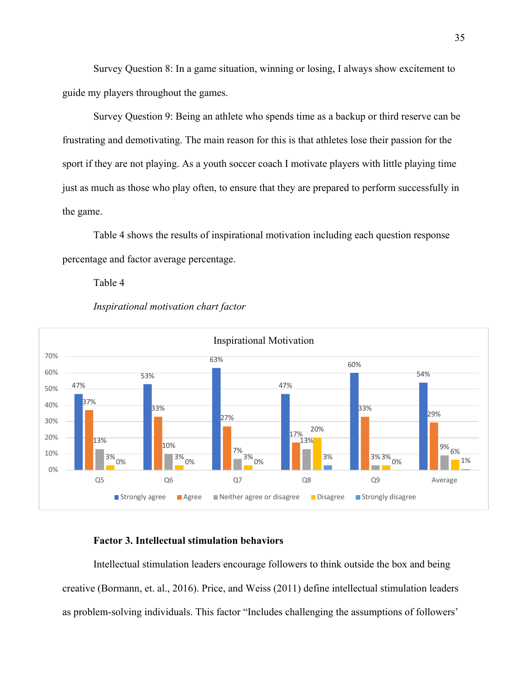Survey Question 8: In a game situation, winning or losing, I always show excitement to guide my players throughout the games.

Survey Question 9: Being an athlete who spends time as a backup or third reserve can be frustrating and demotivating. The main reason for this is that athletes lose their passion for the sport if they are not playing. As a youth soccer coach I motivate players with little playing time just as much as those who play often, to ensure that they are prepared to perform successfully in the game.

Table 4 shows the results of inspirational motivation including each question response percentage and factor average percentage.

Table 4



## *Inspirational motivation chart factor*

## **Factor 3. Intellectual stimulation behaviors**

Intellectual stimulation leaders encourage followers to think outside the box and being creative (Bormann, et. al., 2016). Price, and Weiss (2011) define intellectual stimulation leaders as problem-solving individuals. This factor "Includes challenging the assumptions of followers'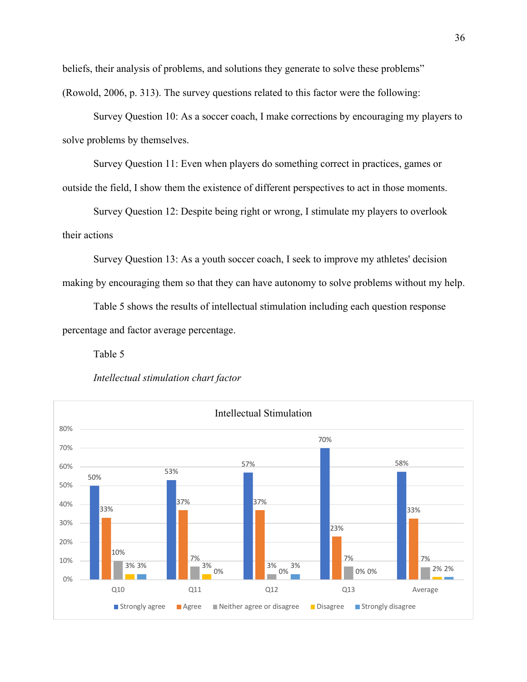beliefs, their analysis of problems, and solutions they generate to solve these problems" (Rowold, 2006, p. 313). The survey questions related to this factor were the following:

Survey Question 10: As a soccer coach, I make corrections by encouraging my players to solve problems by themselves.

Survey Question 11: Even when players do something correct in practices, games or outside the field, I show them the existence of different perspectives to act in those moments.

Survey Question 12: Despite being right or wrong, I stimulate my players to overlook their actions

Survey Question 13: As a youth soccer coach, I seek to improve my athletes' decision making by encouraging them so that they can have autonomy to solve problems without my help.

Table 5 shows the results of intellectual stimulation including each question response percentage and factor average percentage.

Table 5



*Intellectual stimulation chart factor*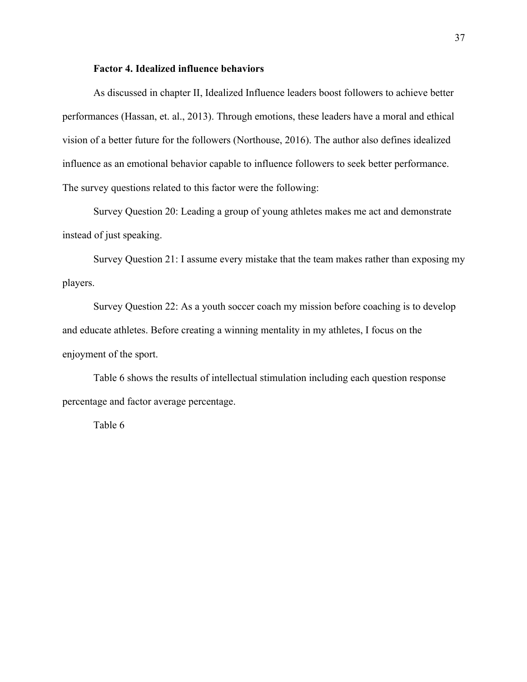## **Factor 4. Idealized influence behaviors**

As discussed in chapter II, Idealized Influence leaders boost followers to achieve better performances (Hassan, et. al., 2013). Through emotions, these leaders have a moral and ethical vision of a better future for the followers (Northouse, 2016). The author also defines idealized influence as an emotional behavior capable to influence followers to seek better performance. The survey questions related to this factor were the following:

Survey Question 20: Leading a group of young athletes makes me act and demonstrate instead of just speaking.

Survey Question 21: I assume every mistake that the team makes rather than exposing my players.

Survey Question 22: As a youth soccer coach my mission before coaching is to develop and educate athletes. Before creating a winning mentality in my athletes, I focus on the enjoyment of the sport.

Table 6 shows the results of intellectual stimulation including each question response percentage and factor average percentage.

Table 6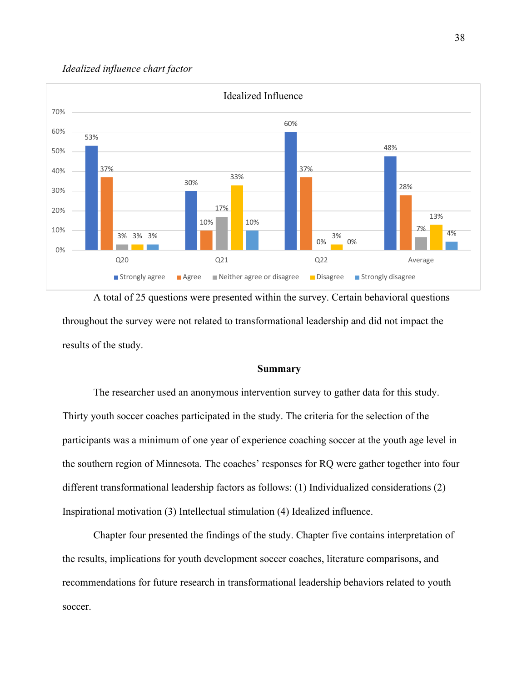## *Idealized influence chart factor*



A total of 25 questions were presented within the survey. Certain behavioral questions throughout the survey were not related to transformational leadership and did not impact the results of the study.

## **Summary**

The researcher used an anonymous intervention survey to gather data for this study. Thirty youth soccer coaches participated in the study. The criteria for the selection of the participants was a minimum of one year of experience coaching soccer at the youth age level in the southern region of Minnesota. The coaches' responses for RQ were gather together into four different transformational leadership factors as follows: (1) Individualized considerations (2) Inspirational motivation (3) Intellectual stimulation (4) Idealized influence.

Chapter four presented the findings of the study. Chapter five contains interpretation of the results, implications for youth development soccer coaches, literature comparisons, and recommendations for future research in transformational leadership behaviors related to youth soccer.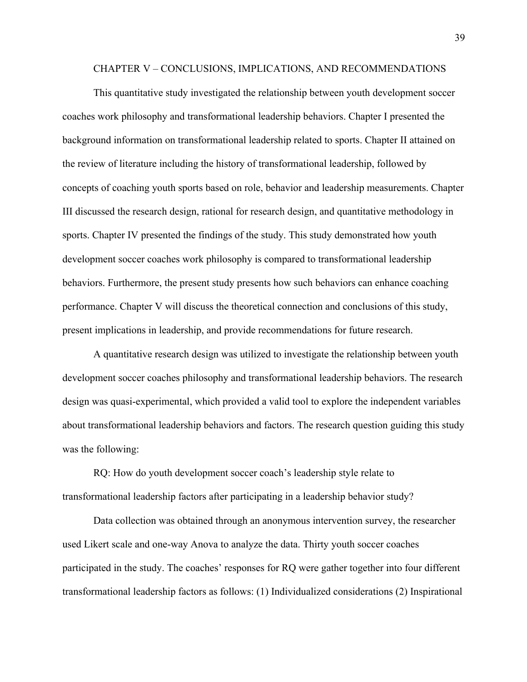#### CHAPTER V – CONCLUSIONS, IMPLICATIONS, AND RECOMMENDATIONS

This quantitative study investigated the relationship between youth development soccer coaches work philosophy and transformational leadership behaviors. Chapter I presented the background information on transformational leadership related to sports. Chapter II attained on the review of literature including the history of transformational leadership, followed by concepts of coaching youth sports based on role, behavior and leadership measurements. Chapter III discussed the research design, rational for research design, and quantitative methodology in sports. Chapter IV presented the findings of the study. This study demonstrated how youth development soccer coaches work philosophy is compared to transformational leadership behaviors. Furthermore, the present study presents how such behaviors can enhance coaching performance. Chapter V will discuss the theoretical connection and conclusions of this study, present implications in leadership, and provide recommendations for future research.

A quantitative research design was utilized to investigate the relationship between youth development soccer coaches philosophy and transformational leadership behaviors. The research design was quasi-experimental, which provided a valid tool to explore the independent variables about transformational leadership behaviors and factors. The research question guiding this study was the following:

RQ: How do youth development soccer coach's leadership style relate to transformational leadership factors after participating in a leadership behavior study?

Data collection was obtained through an anonymous intervention survey, the researcher used Likert scale and one-way Anova to analyze the data. Thirty youth soccer coaches participated in the study. The coaches' responses for RQ were gather together into four different transformational leadership factors as follows: (1) Individualized considerations (2) Inspirational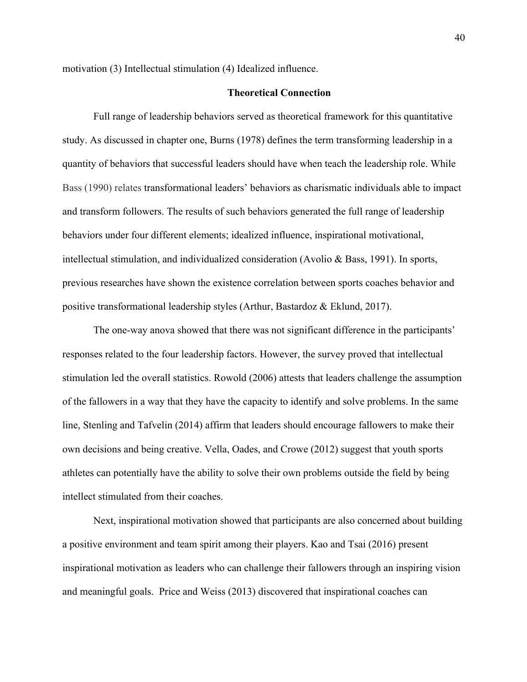motivation (3) Intellectual stimulation (4) Idealized influence.

#### **Theoretical Connection**

Full range of leadership behaviors served as theoretical framework for this quantitative study. As discussed in chapter one, Burns (1978) defines the term transforming leadership in a quantity of behaviors that successful leaders should have when teach the leadership role. While Bass (1990) relates transformational leaders' behaviors as charismatic individuals able to impact and transform followers. The results of such behaviors generated the full range of leadership behaviors under four different elements; idealized influence, inspirational motivational, intellectual stimulation, and individualized consideration (Avolio & Bass, 1991). In sports, previous researches have shown the existence correlation between sports coaches behavior and positive transformational leadership styles (Arthur, Bastardoz & Eklund, 2017).

The one-way anova showed that there was not significant difference in the participants' responses related to the four leadership factors. However, the survey proved that intellectual stimulation led the overall statistics. Rowold (2006) attests that leaders challenge the assumption of the fallowers in a way that they have the capacity to identify and solve problems. In the same line, Stenling and Tafvelin (2014) affirm that leaders should encourage fallowers to make their own decisions and being creative. Vella, Oades, and Crowe (2012) suggest that youth sports athletes can potentially have the ability to solve their own problems outside the field by being intellect stimulated from their coaches.

Next, inspirational motivation showed that participants are also concerned about building a positive environment and team spirit among their players. Kao and Tsai (2016) present inspirational motivation as leaders who can challenge their fallowers through an inspiring vision and meaningful goals. Price and Weiss (2013) discovered that inspirational coaches can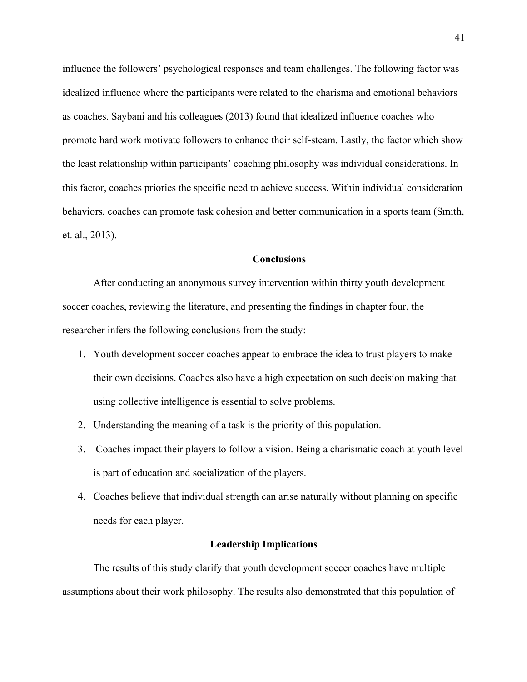influence the followers' psychological responses and team challenges. The following factor was idealized influence where the participants were related to the charisma and emotional behaviors as coaches. Saybani and his colleagues (2013) found that idealized influence coaches who promote hard work motivate followers to enhance their self-steam. Lastly, the factor which show the least relationship within participants' coaching philosophy was individual considerations. In this factor, coaches priories the specific need to achieve success. Within individual consideration behaviors, coaches can promote task cohesion and better communication in a sports team (Smith, et. al., 2013).

## **Conclusions**

After conducting an anonymous survey intervention within thirty youth development soccer coaches, reviewing the literature, and presenting the findings in chapter four, the researcher infers the following conclusions from the study:

- 1. Youth development soccer coaches appear to embrace the idea to trust players to make their own decisions. Coaches also have a high expectation on such decision making that using collective intelligence is essential to solve problems.
- 2. Understanding the meaning of a task is the priority of this population.
- 3. Coaches impact their players to follow a vision. Being a charismatic coach at youth level is part of education and socialization of the players.
- 4. Coaches believe that individual strength can arise naturally without planning on specific needs for each player.

## **Leadership Implications**

The results of this study clarify that youth development soccer coaches have multiple assumptions about their work philosophy. The results also demonstrated that this population of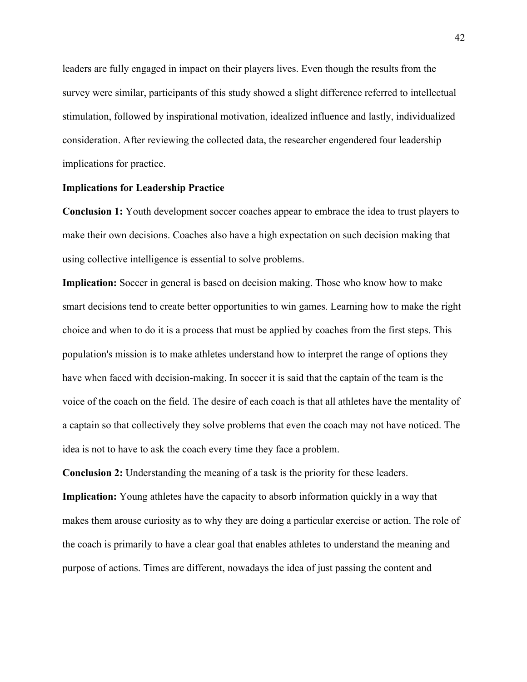leaders are fully engaged in impact on their players lives. Even though the results from the survey were similar, participants of this study showed a slight difference referred to intellectual stimulation, followed by inspirational motivation, idealized influence and lastly, individualized consideration. After reviewing the collected data, the researcher engendered four leadership implications for practice.

## **Implications for Leadership Practice**

**Conclusion 1:** Youth development soccer coaches appear to embrace the idea to trust players to make their own decisions. Coaches also have a high expectation on such decision making that using collective intelligence is essential to solve problems.

**Implication:** Soccer in general is based on decision making. Those who know how to make smart decisions tend to create better opportunities to win games. Learning how to make the right choice and when to do it is a process that must be applied by coaches from the first steps. This population's mission is to make athletes understand how to interpret the range of options they have when faced with decision-making. In soccer it is said that the captain of the team is the voice of the coach on the field. The desire of each coach is that all athletes have the mentality of a captain so that collectively they solve problems that even the coach may not have noticed. The idea is not to have to ask the coach every time they face a problem.

**Conclusion 2:** Understanding the meaning of a task is the priority for these leaders. **Implication:** Young athletes have the capacity to absorb information quickly in a way that makes them arouse curiosity as to why they are doing a particular exercise or action. The role of the coach is primarily to have a clear goal that enables athletes to understand the meaning and purpose of actions. Times are different, nowadays the idea of just passing the content and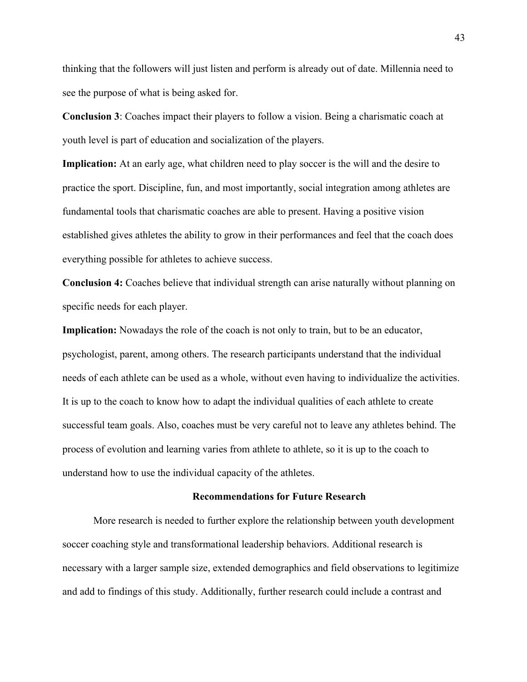thinking that the followers will just listen and perform is already out of date. Millennia need to see the purpose of what is being asked for.

**Conclusion 3**: Coaches impact their players to follow a vision. Being a charismatic coach at youth level is part of education and socialization of the players.

**Implication:** At an early age, what children need to play soccer is the will and the desire to practice the sport. Discipline, fun, and most importantly, social integration among athletes are fundamental tools that charismatic coaches are able to present. Having a positive vision established gives athletes the ability to grow in their performances and feel that the coach does everything possible for athletes to achieve success.

**Conclusion 4:** Coaches believe that individual strength can arise naturally without planning on specific needs for each player.

**Implication:** Nowadays the role of the coach is not only to train, but to be an educator, psychologist, parent, among others. The research participants understand that the individual needs of each athlete can be used as a whole, without even having to individualize the activities. It is up to the coach to know how to adapt the individual qualities of each athlete to create successful team goals. Also, coaches must be very careful not to leave any athletes behind. The process of evolution and learning varies from athlete to athlete, so it is up to the coach to understand how to use the individual capacity of the athletes.

## **Recommendations for Future Research**

More research is needed to further explore the relationship between youth development soccer coaching style and transformational leadership behaviors. Additional research is necessary with a larger sample size, extended demographics and field observations to legitimize and add to findings of this study. Additionally, further research could include a contrast and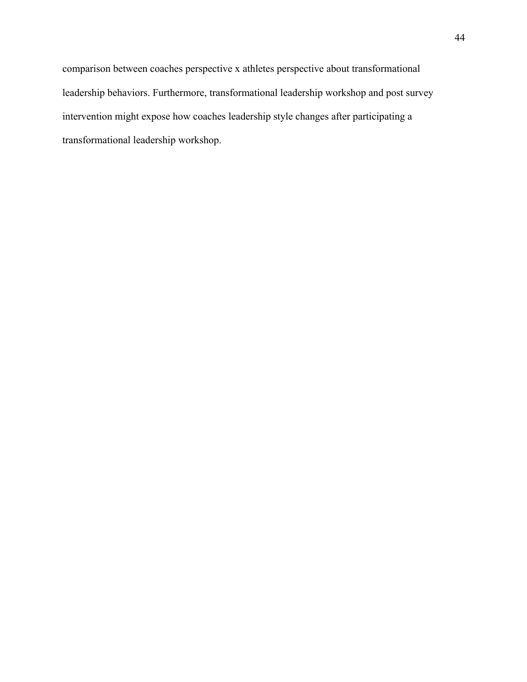comparison between coaches perspective x athletes perspective about transformational leadership behaviors. Furthermore, transformational leadership workshop and post survey intervention might expose how coaches leadership style changes after participating a transformational leadership workshop.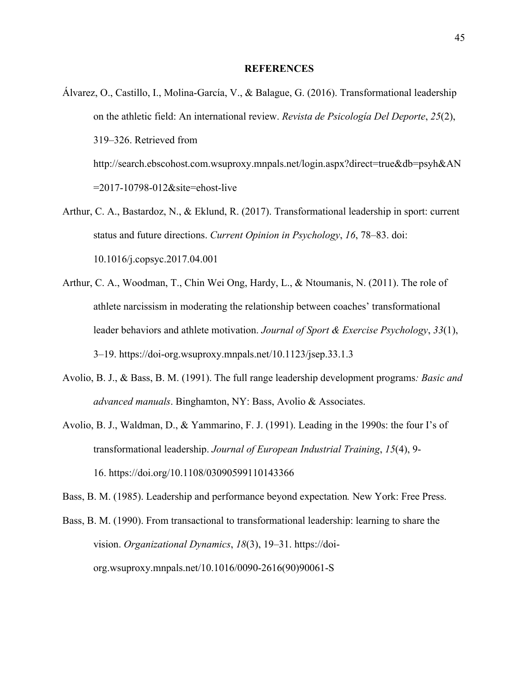#### **REFERENCES**

- Álvarez, O., Castillo, I., Molina-García, V., & Balague, G. (2016). Transformational leadership on the athletic field: An international review. *Revista de Psicología Del Deporte*, *25*(2), 319–326. Retrieved from http://search.ebscohost.com.wsuproxy.mnpals.net/login.aspx?direct=true&db=psyh&AN =2017-10798-012&site=ehost-live
- Arthur, C. A., Bastardoz, N., & Eklund, R. (2017). Transformational leadership in sport: current status and future directions. *Current Opinion in Psychology*, *16*, 78–83. doi: 10.1016/j.copsyc.2017.04.001
- Arthur, C. A., Woodman, T., Chin Wei Ong, Hardy, L., & Ntoumanis, N. (2011). The role of athlete narcissism in moderating the relationship between coaches' transformational leader behaviors and athlete motivation. *Journal of Sport & Exercise Psychology*, *33*(1), 3–19. https://doi-org.wsuproxy.mnpals.net/10.1123/jsep.33.1.3
- Avolio, B. J., & Bass, B. M. (1991). The full range leadership development programs*: Basic and advanced manuals*. Binghamton, NY: Bass, Avolio & Associates.
- Avolio, B. J., Waldman, D., & Yammarino, F. J. (1991). Leading in the 1990s: the four I's of transformational leadership. *Journal of European Industrial Training*, *15*(4), 9- 16. https://doi.org/10.1108/03090599110143366
- Bass, B. M. (1985). Leadership and performance beyond expectation*.* New York: Free Press.

Bass, B. M. (1990). From transactional to transformational leadership: learning to share the vision. *Organizational Dynamics*, *18*(3), 19–31. https://doiorg.wsuproxy.mnpals.net/10.1016/0090-2616(90)90061-S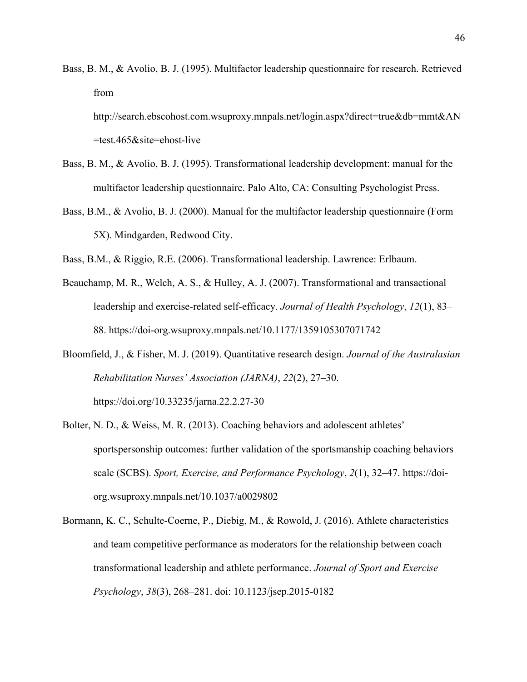Bass, B. M., & Avolio, B. J. (1995). Multifactor leadership questionnaire for research. Retrieved from

http://search.ebscohost.com.wsuproxy.mnpals.net/login.aspx?direct=true&db=mmt&AN =test.465&site=ehost-live

- Bass, B. M., & Avolio, B. J. (1995). Transformational leadership development: manual for the multifactor leadership questionnaire. Palo Alto, CA: Consulting Psychologist Press.
- Bass, B.M., & Avolio, B. J. (2000). Manual for the multifactor leadership questionnaire (Form 5X). Mindgarden, Redwood City.
- Bass, B.M., & Riggio, R.E. (2006). Transformational leadership. Lawrence: Erlbaum.
- Beauchamp, M. R., Welch, A. S., & Hulley, A. J. (2007). Transformational and transactional leadership and exercise-related self-efficacy. *Journal of Health Psychology*, *12*(1), 83– 88. https://doi-org.wsuproxy.mnpals.net/10.1177/1359105307071742
- Bloomfield, J., & Fisher, M. J. (2019). Quantitative research design. *Journal of the Australasian Rehabilitation Nurses' Association (JARNA)*, *22*(2), 27–30. https://doi.org/10.33235/jarna.22.2.27-30
- Bolter, N. D., & Weiss, M. R. (2013). Coaching behaviors and adolescent athletes' sportspersonship outcomes: further validation of the sportsmanship coaching behaviors scale (SCBS). *Sport, Exercise, and Performance Psychology*, *2*(1), 32–47. https://doiorg.wsuproxy.mnpals.net/10.1037/a0029802
- Bormann, K. C., Schulte-Coerne, P., Diebig, M., & Rowold, J. (2016). Athlete characteristics and team competitive performance as moderators for the relationship between coach transformational leadership and athlete performance. *Journal of Sport and Exercise Psychology*, *38*(3), 268–281. doi: 10.1123/jsep.2015-0182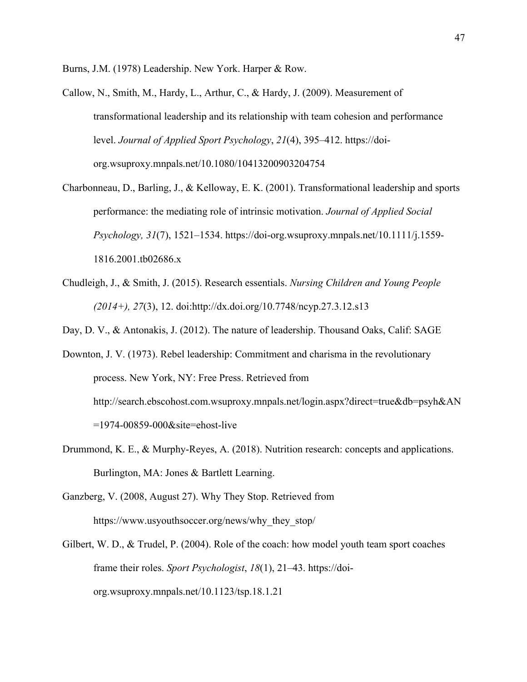Burns, J.M. (1978) Leadership. New York. Harper & Row.

Callow, N., Smith, M., Hardy, L., Arthur, C., & Hardy, J. (2009). Measurement of transformational leadership and its relationship with team cohesion and performance level. *Journal of Applied Sport Psychology*, *21*(4), 395–412. https://doiorg.wsuproxy.mnpals.net/10.1080/10413200903204754

Charbonneau, D., Barling, J., & Kelloway, E. K. (2001). Transformational leadership and sports performance: the mediating role of intrinsic motivation. *Journal of Applied Social Psychology, 31*(7), 1521–1534. https://doi-org.wsuproxy.mnpals.net/10.1111/j.1559- 1816.2001.tb02686.x

Chudleigh, J., & Smith, J. (2015). Research essentials. *Nursing Children and Young People (2014+), 27*(3), 12. doi:http://dx.doi.org/10.7748/ncyp.27.3.12.s13

Day, D. V., & Antonakis, J. (2012). The nature of leadership. Thousand Oaks, Calif: SAGE

Downton, J. V. (1973). Rebel leadership: Commitment and charisma in the revolutionary process. New York, NY: Free Press. Retrieved from http://search.ebscohost.com.wsuproxy.mnpals.net/login.aspx?direct=true&db=psyh&AN =1974-00859-000&site=ehost-live

- Drummond, K. E., & Murphy-Reyes, A. (2018). Nutrition research: concepts and applications. Burlington, MA: Jones & Bartlett Learning.
- Ganzberg, V. (2008, August 27). Why They Stop. Retrieved from https://www.usyouthsoccer.org/news/why\_they\_stop/
- Gilbert, W. D., & Trudel, P. (2004). Role of the coach: how model youth team sport coaches frame their roles. *Sport Psychologist*, *18*(1), 21–43. https://doiorg.wsuproxy.mnpals.net/10.1123/tsp.18.1.21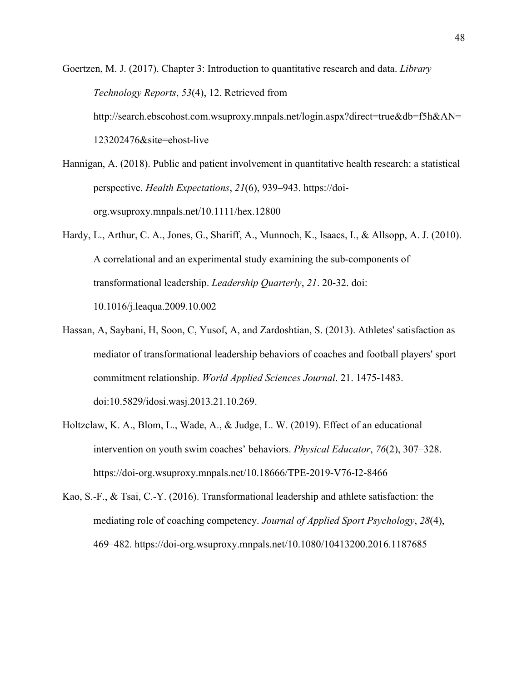Goertzen, M. J. (2017). Chapter 3: Introduction to quantitative research and data. *Library Technology Reports*, *53*(4), 12. Retrieved from http://search.ebscohost.com.wsuproxy.mnpals.net/login.aspx?direct=true&db=f5h&AN= 123202476&site=ehost-live

Hannigan, A. (2018). Public and patient involvement in quantitative health research: a statistical perspective. *Health Expectations*, *21*(6), 939–943. https://doiorg.wsuproxy.mnpals.net/10.1111/hex.12800

- Hardy, L., Arthur, C. A., Jones, G., Shariff, A., Munnoch, K., Isaacs, I., & Allsopp, A. J. (2010). A correlational and an experimental study examining the sub-components of transformational leadership. *Leadership Quarterly*, *21*. 20-32. doi: 10.1016/j.leaqua.2009.10.002
- Hassan, A, Saybani, H, Soon, C, Yusof, A, and Zardoshtian, S. (2013). Athletes' satisfaction as mediator of transformational leadership behaviors of coaches and football players' sport commitment relationship. *World Applied Sciences Journal*. 21. 1475-1483. doi:10.5829/idosi.wasj.2013.21.10.269.
- Holtzclaw, K. A., Blom, L., Wade, A., & Judge, L. W. (2019). Effect of an educational intervention on youth swim coaches' behaviors. *Physical Educator*, *76*(2), 307–328. https://doi-org.wsuproxy.mnpals.net/10.18666/TPE-2019-V76-I2-8466
- Kao, S.-F., & Tsai, C.-Y. (2016). Transformational leadership and athlete satisfaction: the mediating role of coaching competency. *Journal of Applied Sport Psychology*, *28*(4), 469–482. https://doi-org.wsuproxy.mnpals.net/10.1080/10413200.2016.1187685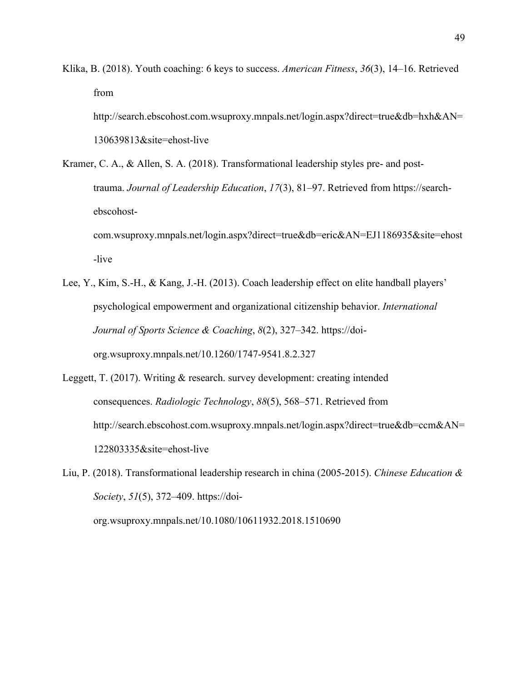Klika, B. (2018). Youth coaching: 6 keys to success. *American Fitness*, *36*(3), 14–16. Retrieved from

http://search.ebscohost.com.wsuproxy.mnpals.net/login.aspx?direct=true&db=hxh&AN= 130639813&site=ehost-live

- Kramer, C. A., & Allen, S. A. (2018). Transformational leadership styles pre- and posttrauma. *Journal of Leadership Education*, *17*(3), 81–97. Retrieved from https://searchebscohostcom.wsuproxy.mnpals.net/login.aspx?direct=true&db=eric&AN=EJ1186935&site=ehost -live
- Lee, Y., Kim, S.-H., & Kang, J.-H. (2013). Coach leadership effect on elite handball players' psychological empowerment and organizational citizenship behavior. *International Journal of Sports Science & Coaching*, *8*(2), 327–342. https://doiorg.wsuproxy.mnpals.net/10.1260/1747-9541.8.2.327
- Leggett, T. (2017). Writing & research. survey development: creating intended consequences. *Radiologic Technology*, *88*(5), 568–571. Retrieved from http://search.ebscohost.com.wsuproxy.mnpals.net/login.aspx?direct=true&db=ccm&AN= 122803335&site=ehost-live

Liu, P. (2018). Transformational leadership research in china (2005-2015). *Chinese Education & Society*, *51*(5), 372–409. https://doiorg.wsuproxy.mnpals.net/10.1080/10611932.2018.1510690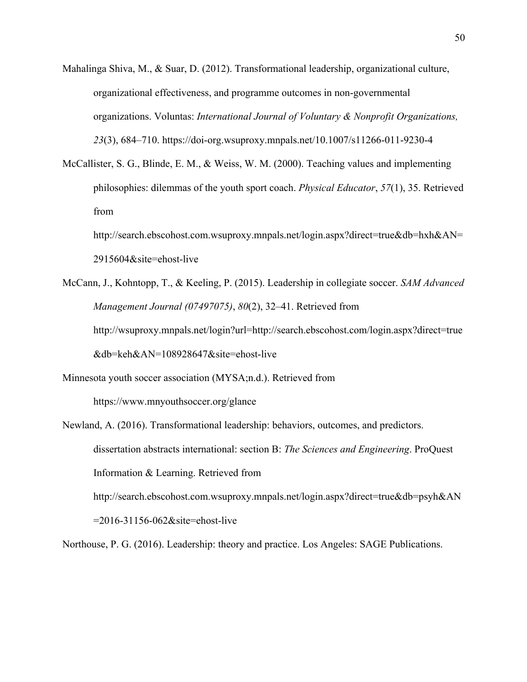- Mahalinga Shiva, M., & Suar, D. (2012). Transformational leadership, organizational culture, organizational effectiveness, and programme outcomes in non-governmental organizations. Voluntas: *International Journal of Voluntary & Nonprofit Organizations, 23*(3), 684–710. https://doi-org.wsuproxy.mnpals.net/10.1007/s11266-011-9230-4
- McCallister, S. G., Blinde, E. M., & Weiss, W. M. (2000). Teaching values and implementing philosophies: dilemmas of the youth sport coach. *Physical Educator*, *57*(1), 35. Retrieved from http://search.ebscohost.com.wsuproxy.mnpals.net/login.aspx?direct=true&db=hxh&AN=

2915604&site=ehost-live

McCann, J., Kohntopp, T., & Keeling, P. (2015). Leadership in collegiate soccer. *SAM Advanced Management Journal (07497075)*, *80*(2), 32–41. Retrieved from http://wsuproxy.mnpals.net/login?url=http://search.ebscohost.com/login.aspx?direct=true &db=keh&AN=108928647&site=ehost-live

Minnesota youth soccer association (MYSA;n.d.). Retrieved from https://www.mnyouthsoccer.org/glance

Newland, A. (2016). Transformational leadership: behaviors, outcomes, and predictors. dissertation abstracts international: section B: *The Sciences and Engineering*. ProQuest Information & Learning. Retrieved from http://search.ebscohost.com.wsuproxy.mnpals.net/login.aspx?direct=true&db=psyh&AN =2016-31156-062&site=ehost-live

Northouse, P. G. (2016). Leadership: theory and practice. Los Angeles: SAGE Publications.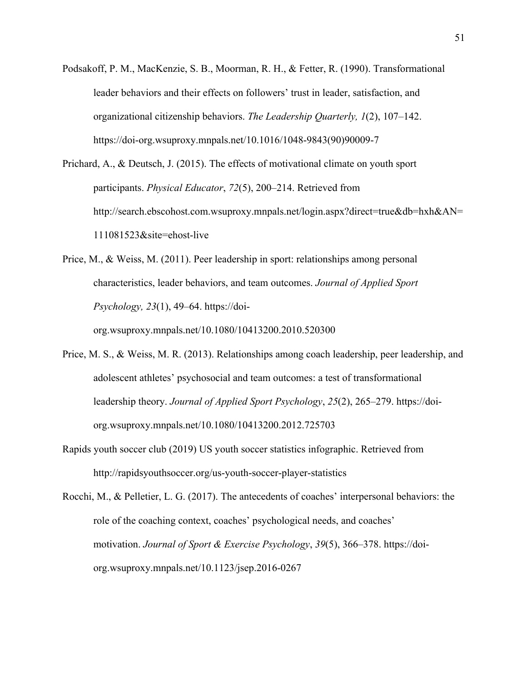- Podsakoff, P. M., MacKenzie, S. B., Moorman, R. H., & Fetter, R. (1990). Transformational leader behaviors and their effects on followers' trust in leader, satisfaction, and organizational citizenship behaviors. *The Leadership Quarterly, 1*(2), 107–142. https://doi-org.wsuproxy.mnpals.net/10.1016/1048-9843(90)90009-7
- Prichard, A., & Deutsch, J. (2015). The effects of motivational climate on youth sport participants. *Physical Educator*, *72*(5), 200–214. Retrieved from http://search.ebscohost.com.wsuproxy.mnpals.net/login.aspx?direct=true&db=hxh&AN= 111081523&site=ehost-live

Price, M., & Weiss, M. (2011). Peer leadership in sport: relationships among personal characteristics, leader behaviors, and team outcomes. *Journal of Applied Sport Psychology, 23*(1), 49–64. https://doiorg.wsuproxy.mnpals.net/10.1080/10413200.2010.520300

- Price, M. S., & Weiss, M. R. (2013). Relationships among coach leadership, peer leadership, and adolescent athletes' psychosocial and team outcomes: a test of transformational leadership theory. *Journal of Applied Sport Psychology*, *25*(2), 265–279. https://doiorg.wsuproxy.mnpals.net/10.1080/10413200.2012.725703
- Rapids youth soccer club (2019) US youth soccer statistics infographic. Retrieved from http://rapidsyouthsoccer.org/us-youth-soccer-player-statistics

Rocchi, M., & Pelletier, L. G. (2017). The antecedents of coaches' interpersonal behaviors: the role of the coaching context, coaches' psychological needs, and coaches' motivation. *Journal of Sport & Exercise Psychology*, *39*(5), 366–378. https://doiorg.wsuproxy.mnpals.net/10.1123/jsep.2016-0267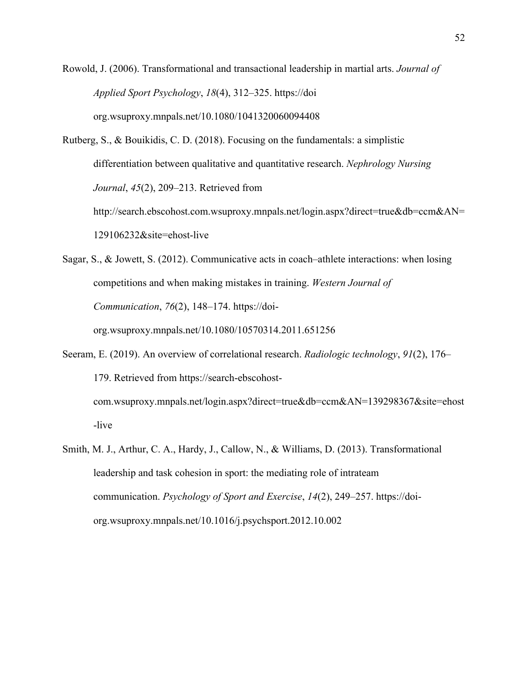Rowold, J. (2006). Transformational and transactional leadership in martial arts. *Journal of Applied Sport Psychology*, *18*(4), 312–325. https://doi org.wsuproxy.mnpals.net/10.1080/1041320060094408

Rutberg, S., & Bouikidis, C. D. (2018). Focusing on the fundamentals: a simplistic differentiation between qualitative and quantitative research. *Nephrology Nursing Journal*, *45*(2), 209–213. Retrieved from

http://search.ebscohost.com.wsuproxy.mnpals.net/login.aspx?direct=true&db=ccm&AN= 129106232&site=ehost-live

Sagar, S., & Jowett, S. (2012). Communicative acts in coach–athlete interactions: when losing competitions and when making mistakes in training. *Western Journal of Communication*, *76*(2), 148–174. https://doiorg.wsuproxy.mnpals.net/10.1080/10570314.2011.651256

- Seeram, E. (2019). An overview of correlational research. *Radiologic technology*, *91*(2), 176– 179. Retrieved from https://search-ebscohostcom.wsuproxy.mnpals.net/login.aspx?direct=true&db=ccm&AN=139298367&site=ehost -live
- Smith, M. J., Arthur, C. A., Hardy, J., Callow, N., & Williams, D. (2013). Transformational leadership and task cohesion in sport: the mediating role of intrateam communication. *Psychology of Sport and Exercise*, *14*(2), 249–257. https://doiorg.wsuproxy.mnpals.net/10.1016/j.psychsport.2012.10.002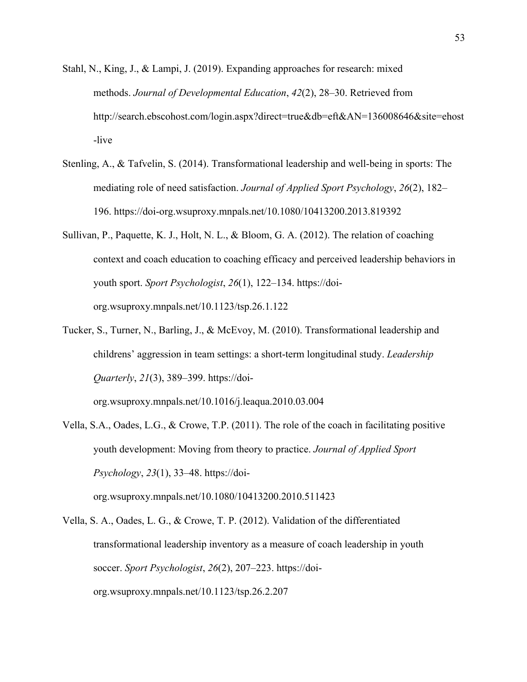- Stahl, N., King, J., & Lampi, J. (2019). Expanding approaches for research: mixed methods. *Journal of Developmental Education*, *42*(2), 28–30. Retrieved from http://search.ebscohost.com/login.aspx?direct=true&db=eft&AN=136008646&site=ehost -live
- Stenling, A., & Tafvelin, S. (2014). Transformational leadership and well-being in sports: The mediating role of need satisfaction. *Journal of Applied Sport Psychology*, *26*(2), 182– 196. https://doi-org.wsuproxy.mnpals.net/10.1080/10413200.2013.819392
- Sullivan, P., Paquette, K. J., Holt, N. L., & Bloom, G. A. (2012). The relation of coaching context and coach education to coaching efficacy and perceived leadership behaviors in youth sport. *Sport Psychologist*, *26*(1), 122–134. https://doiorg.wsuproxy.mnpals.net/10.1123/tsp.26.1.122
- Tucker, S., Turner, N., Barling, J., & McEvoy, M. (2010). Transformational leadership and childrens' aggression in team settings: a short-term longitudinal study. *Leadership Quarterly*, *21*(3), 389–399. https://doi-

org.wsuproxy.mnpals.net/10.1016/j.leaqua.2010.03.004

- Vella, S.A., Oades, L.G., & Crowe, T.P. (2011). The role of the coach in facilitating positive youth development: Moving from theory to practice. *Journal of Applied Sport Psychology*, *23*(1), 33–48. https://doiorg.wsuproxy.mnpals.net/10.1080/10413200.2010.511423
- Vella, S. A., Oades, L. G., & Crowe, T. P. (2012). Validation of the differentiated transformational leadership inventory as a measure of coach leadership in youth soccer. *Sport Psychologist*, *26*(2), 207–223. https://doiorg.wsuproxy.mnpals.net/10.1123/tsp.26.2.207